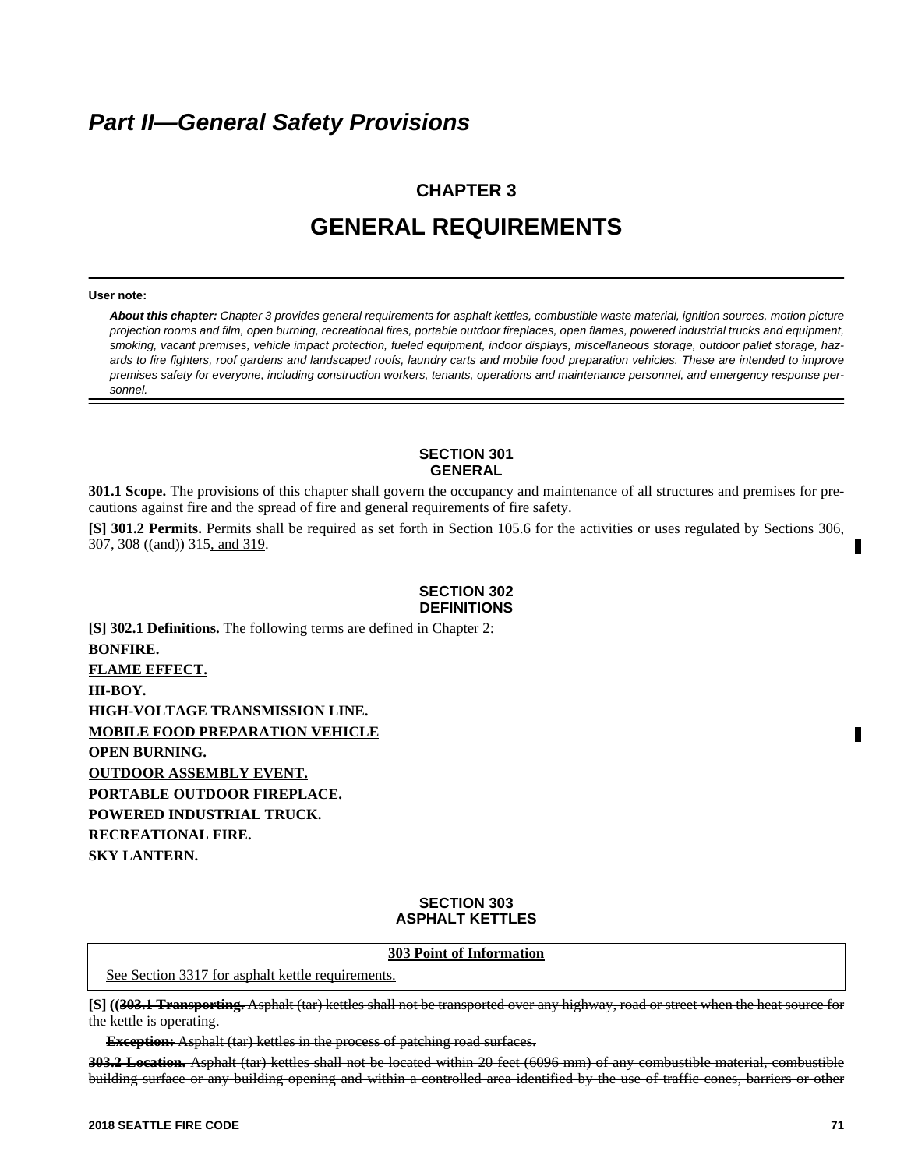# *Part II—General Safety Provisions*

# **CHAPTER 3 GENERAL REQUIREMENTS**

#### **User note:**

*About this chapter: Chapter 3 provides general requirements for asphalt kettles, combustible waste material, ignition sources, motion picture projection rooms and film, open burning, recreational fires, portable outdoor fireplaces, open flames, powered industrial trucks and equipment, smoking, vacant premises, vehicle impact protection, fueled equipment, indoor displays, miscellaneous storage, outdoor pallet storage, hazards to fire fighters, roof gardens and landscaped roofs, laundry carts and mobile food preparation vehicles. These are intended to improve premises safety for everyone, including construction workers, tenants, operations and maintenance personnel, and emergency response personnel.* 

#### **SECTION 301 GENERAL**

**301.1 Scope.** The provisions of this chapter shall govern the occupancy and maintenance of all structures and premises for precautions against fire and the spread of fire and general requirements of fire safety.

**[S] 301.2 Permits.** Permits shall be required as set forth in Section 105.6 for the activities or uses regulated by Sections 306, 307, 308 ((and)) 315, and 319.

#### **SECTION 302 DEFINITIONS**

**[S] 302.1 Definitions.** The following terms are defined in Chapter 2: **BONFIRE. FLAME EFFECT. HI-BOY. HIGH-VOLTAGE TRANSMISSION LINE. MOBILE FOOD PREPARATION VEHICLE OPEN BURNING. OUTDOOR ASSEMBLY EVENT. PORTABLE OUTDOOR FIREPLACE. POWERED INDUSTRIAL TRUCK. RECREATIONAL FIRE. SKY LANTERN.**

## **SECTION 303 ASPHALT KETTLES**

#### **303 Point of Information**

See Section 3317 for asphalt kettle requirements.

**[S] ((303.1 Transporting.** Asphalt (tar) kettles shall not be transported over any highway, road or street when the heat source for the kettle is operating.

**Exception:** Asphalt (tar) kettles in the process of patching road surfaces.

**303.2 Location.** Asphalt (tar) kettles shall not be located within 20 feet (6096 mm) of any combustible material, combustible building surface or any building opening and within a controlled area identified by the use of traffic cones, barriers or other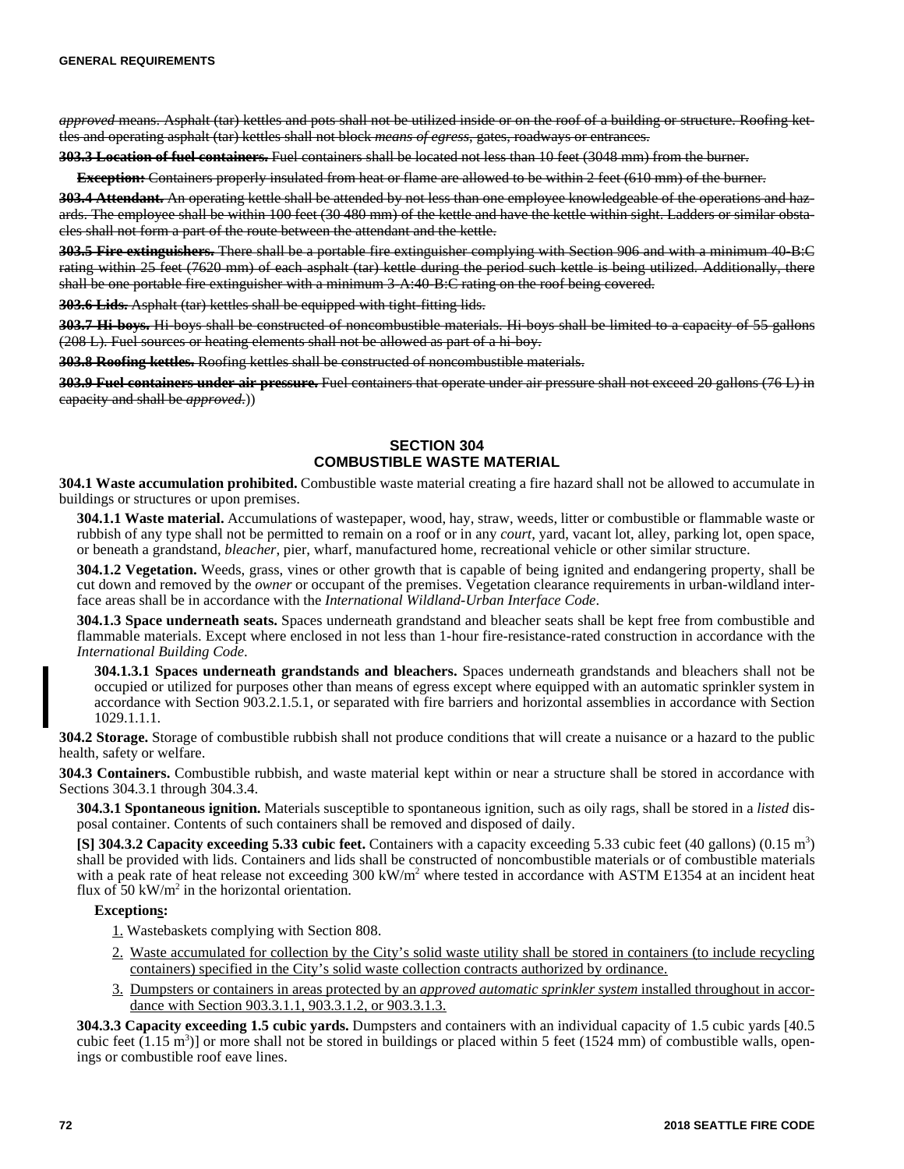*approved* means. Asphalt (tar) kettles and pots shall not be utilized inside or on the roof of a building or structure. Roofing kettles and operating asphalt (tar) kettles shall not block *means of egress*, gates, roadways or entrances.

**303.3 Location of fuel containers.** Fuel containers shall be located not less than 10 feet (3048 mm) from the burner.

**Exception:** Containers properly insulated from heat or flame are allowed to be within 2 feet (610 mm) of the burner.

**303.4 Attendant.** An operating kettle shall be attended by not less than one employee knowledgeable of the operations and hazards. The employee shall be within 100 feet (30 480 mm) of the kettle and have the kettle within sight. Ladders or similar obstacles shall not form a part of the route between the attendant and the kettle.

**303.5 Fire extinguishers.** There shall be a portable fire extinguisher complying with Section 906 and with a minimum 40-B:C rating within 25 feet (7620 mm) of each asphalt (tar) kettle during the period such kettle is being utilized. Additionally, there shall be one portable fire extinguisher with a minimum 3-A:40-B:C rating on the roof being covered.

**303.6 Lids.** Asphalt (tar) kettles shall be equipped with tight-fitting lids.

**303.7 Hi-boys.** Hi-boys shall be constructed of noncombustible materials. Hi-boys shall be limited to a capacity of 55 gallons (208 L). Fuel sources or heating elements shall not be allowed as part of a hi-boy.

**303.8 Roofing kettles.** Roofing kettles shall be constructed of noncombustible materials.

**303.9 Fuel containers under air pressure.** Fuel containers that operate under air pressure shall not exceed 20 gallons (76 L) in capacity and shall be *approved*.))

# **SECTION 304 COMBUSTIBLE WASTE MATERIAL**

**304.1 Waste accumulation prohibited.** Combustible waste material creating a fire hazard shall not be allowed to accumulate in buildings or structures or upon premises.

**304.1.1 Waste material.** Accumulations of wastepaper, wood, hay, straw, weeds, litter or combustible or flammable waste or rubbish of any type shall not be permitted to remain on a roof or in any *court*, yard, vacant lot, alley, parking lot, open space, or beneath a grandstand, *bleacher*, pier, wharf, manufactured home, recreational vehicle or other similar structure.

**304.1.2 Vegetation.** Weeds, grass, vines or other growth that is capable of being ignited and endangering property, shall be cut down and removed by the *owner* or occupant of the premises. Vegetation clearance requirements in urban-wildland interface areas shall be in accordance with the *International Wildland-Urban Interface Code*.

**304.1.3 Space underneath seats.** Spaces underneath grandstand and bleacher seats shall be kept free from combustible and flammable materials. Except where enclosed in not less than 1-hour fire-resistance-rated construction in accordance with the *International Building Code*.

**304.1.3.1 Spaces underneath grandstands and bleachers.** Spaces underneath grandstands and bleachers shall not be occupied or utilized for purposes other than means of egress except where equipped with an automatic sprinkler system in accordance with Section 903.2.1.5.1, or separated with fire barriers and horizontal assemblies in accordance with Section 1029.1.1.1.

**304.2 Storage.** Storage of combustible rubbish shall not produce conditions that will create a nuisance or a hazard to the public health, safety or welfare.

**304.3 Containers.** Combustible rubbish, and waste material kept within or near a structure shall be stored in accordance with Sections 304.3.1 through 304.3.4.

**304.3.1 Spontaneous ignition.** Materials susceptible to spontaneous ignition, such as oily rags, shall be stored in a *listed* disposal container. Contents of such containers shall be removed and disposed of daily.

**[S] 304.3.2 Capacity exceeding 5.33 cubic feet.** Containers with a capacity exceeding 5.33 cubic feet (40 gallons) (0.15 m<sup>3</sup> ) shall be provided with lids. Containers and lids shall be constructed of noncombustible materials or of combustible materials with a peak rate of heat release not exceeding 300 kW/m<sup>2</sup> where tested in accordance with ASTM E1354 at an incident heat flux of  $50 \text{ kW/m}^2$  in the horizontal orientation.

## **Exceptions:**

1. Wastebaskets complying with Section 808.

- 2. Waste accumulated for collection by the City's solid waste utility shall be stored in containers (to include recycling containers) specified in the City's solid waste collection contracts authorized by ordinance.
- 3. Dumpsters or containers in areas protected by an *approved automatic sprinkler system* installed throughout in accordance with Section 903.3.1.1, 903.3.1.2, or 903.3.1.3.

**304.3.3 Capacity exceeding 1.5 cubic yards.** Dumpsters and containers with an individual capacity of 1.5 cubic yards [40.5 cubic feet  $(1.15 \text{ m}^3)$  or more shall not be stored in buildings or placed within 5 feet (1524 mm) of combustible walls, openings or combustible roof eave lines.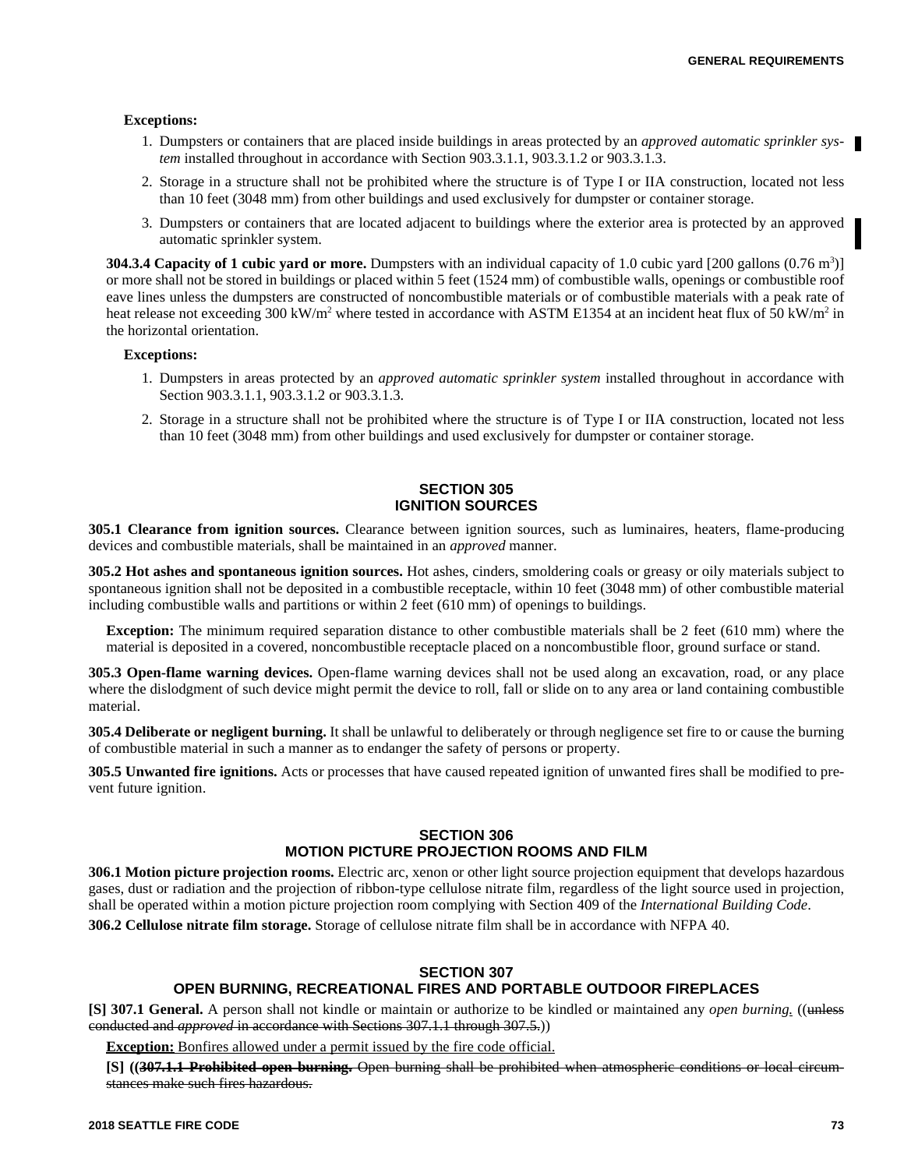#### **Exceptions:**

- 1. Dumpsters or containers that are placed inside buildings in areas protected by an *approved automatic sprinkler system* installed throughout in accordance with Section 903.3.1.1, 903.3.1.2 or 903.3.1.3.
- 2. Storage in a structure shall not be prohibited where the structure is of Type I or IIA construction, located not less than 10 feet (3048 mm) from other buildings and used exclusively for dumpster or container storage.
- 3. Dumpsters or containers that are located adjacent to buildings where the exterior area is protected by an approved automatic sprinkler system.

**304.3.4 Capacity of 1 cubic yard or more.** Dumpsters with an individual capacity of 1.0 cubic yard [200 gallons (0.76 m<sup>3</sup>)] or more shall not be stored in buildings or placed within 5 feet (1524 mm) of combustible walls, openings or combustible roof eave lines unless the dumpsters are constructed of noncombustible materials or of combustible materials with a peak rate of heat release not exceeding 300 kW/m<sup>2</sup> where tested in accordance with ASTM E1354 at an incident heat flux of 50 kW/m<sup>2</sup> in the horizontal orientation.

#### **Exceptions:**

- 1. Dumpsters in areas protected by an *approved automatic sprinkler system* installed throughout in accordance with Section 903.3.1.1, 903.3.1.2 or 903.3.1.3.
- 2. Storage in a structure shall not be prohibited where the structure is of Type I or IIA construction, located not less than 10 feet (3048 mm) from other buildings and used exclusively for dumpster or container storage.

## **SECTION 305 IGNITION SOURCES**

**305.1 Clearance from ignition sources.** Clearance between ignition sources, such as luminaires, heaters, flame-producing devices and combustible materials, shall be maintained in an *approved* manner.

**305.2 Hot ashes and spontaneous ignition sources.** Hot ashes, cinders, smoldering coals or greasy or oily materials subject to spontaneous ignition shall not be deposited in a combustible receptacle, within 10 feet (3048 mm) of other combustible material including combustible walls and partitions or within 2 feet (610 mm) of openings to buildings.

**Exception:** The minimum required separation distance to other combustible materials shall be 2 feet (610 mm) where the material is deposited in a covered, noncombustible receptacle placed on a noncombustible floor, ground surface or stand.

**305.3 Open-flame warning devices.** Open-flame warning devices shall not be used along an excavation, road, or any place where the dislodgment of such device might permit the device to roll, fall or slide on to any area or land containing combustible material.

**305.4 Deliberate or negligent burning.** It shall be unlawful to deliberately or through negligence set fire to or cause the burning of combustible material in such a manner as to endanger the safety of persons or property.

**305.5 Unwanted fire ignitions.** Acts or processes that have caused repeated ignition of unwanted fires shall be modified to prevent future ignition.

## **SECTION 306 MOTION PICTURE PROJECTION ROOMS AND FILM**

**306.1 Motion picture projection rooms.** Electric arc, xenon or other light source projection equipment that develops hazardous gases, dust or radiation and the projection of ribbon-type cellulose nitrate film, regardless of the light source used in projection, shall be operated within a motion picture projection room complying with Section 409 of the *International Building Code*.

**306.2 Cellulose nitrate film storage.** Storage of cellulose nitrate film shall be in accordance with NFPA 40.

## **SECTION 307**

# **OPEN BURNING, RECREATIONAL FIRES AND PORTABLE OUTDOOR FIREPLACES**

**[S] 307.1 General.** A person shall not kindle or maintain or authorize to be kindled or maintained any *open burning.* ((unless conducted and *approved* in accordance with Sections 307.1.1 through 307.5.))

**Exception:** Bonfires allowed under a permit issued by the fire code official.

**[S] ((307.1.1 Prohibited open burning.** Open burning shall be prohibited when atmospheric conditions or local circumstances make such fires hazardous.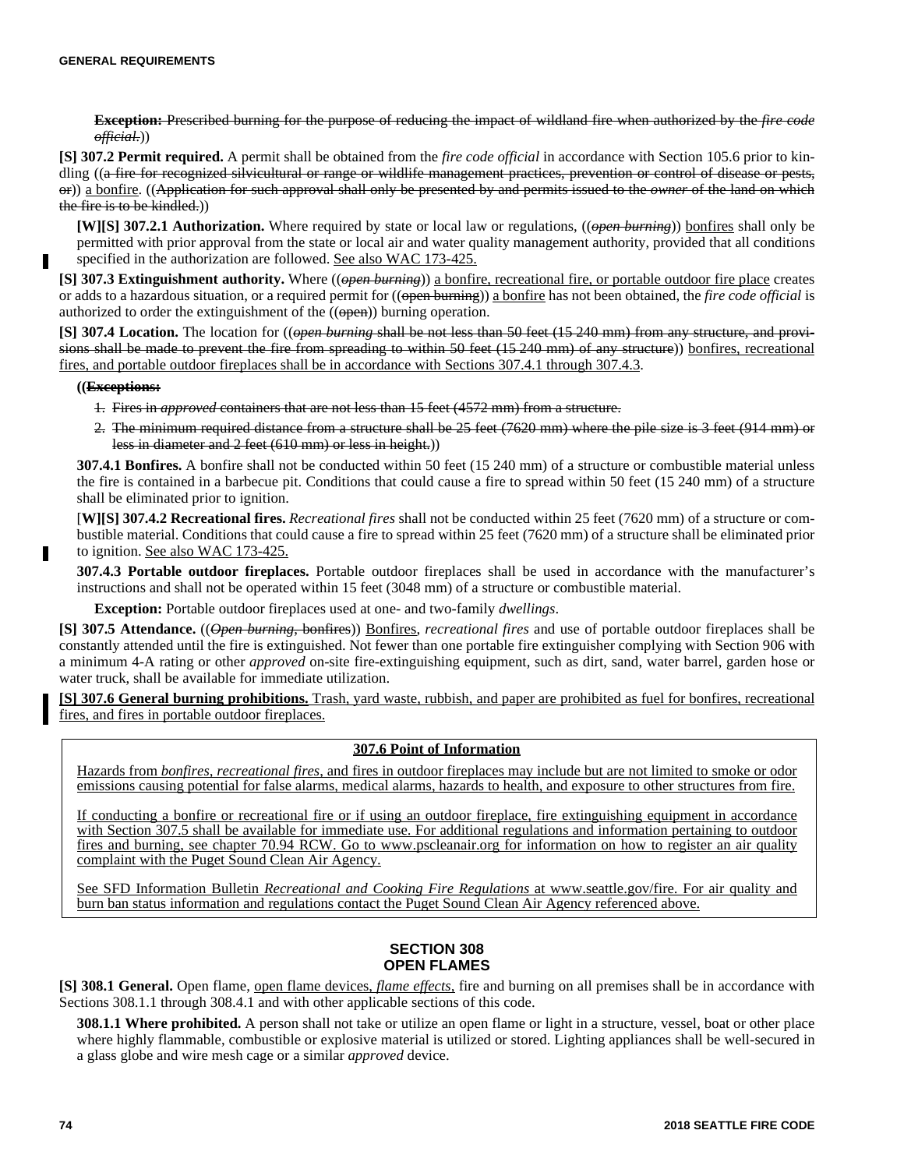**Exception:** Prescribed burning for the purpose of reducing the impact of wildland fire when authorized by the *fire code official.*))

**[S] 307.2 Permit required.** A permit shall be obtained from the *fire code official* in accordance with Section 105.6 prior to kindling ((a fire for recognized silvicultural or range or wildlife management practices, prevention or control of disease or pests, or)) a bonfire. ((Application for such approval shall only be presented by and permits issued to the *owner* of the land on which the fire is to be kindled.))

**[W][S] 307.2.1 Authorization.** Where required by state or local law or regulations, ((*open burning*)) bonfires shall only be permitted with prior approval from the state or local air and water quality management authority, provided that all conditions specified in the authorization are followed. See also WAC 173-425.

**[S] 307.3 Extinguishment authority.** Where ((*open burning*)) a bonfire, recreational fire, or portable outdoor fire place creates or adds to a hazardous situation, or a required permit for ((open burning)) a bonfire has not been obtained, the *fire code official* is authorized to order the extinguishment of the  $((\Theta_{\text{pen}}))$  burning operation.

**[S] 307.4 Location.** The location for ((*open burning* shall be not less than 50 feet (15 240 mm) from any structure, and provisions shall be made to prevent the fire from spreading to within 50 feet (15 240 mm) of any structure)) bonfires, recreational fires, and portable outdoor fireplaces shall be in accordance with Sections 307.4.1 through 307.4.3.

#### **((Exceptions:**

- 1. Fires in *approved* containers that are not less than 15 feet (4572 mm) from a structure.
- 2. The minimum required distance from a structure shall be 25 feet (7620 mm) where the pile size is 3 feet (914 mm) or less in diameter and 2 feet (610 mm) or less in height.))

**307.4.1 Bonfires.** A bonfire shall not be conducted within 50 feet (15 240 mm) of a structure or combustible material unless the fire is contained in a barbecue pit. Conditions that could cause a fire to spread within 50 feet (15 240 mm) of a structure shall be eliminated prior to ignition.

[**W][S] 307.4.2 Recreational fires.** *Recreational fires* shall not be conducted within 25 feet (7620 mm) of a structure or combustible material. Conditions that could cause a fire to spread within 25 feet (7620 mm) of a structure shall be eliminated prior to ignition. See also WAC 173-425.

**307.4.3 Portable outdoor fireplaces.** Portable outdoor fireplaces shall be used in accordance with the manufacturer's instructions and shall not be operated within 15 feet (3048 mm) of a structure or combustible material.

**Exception:** Portable outdoor fireplaces used at one- and two-family *dwellings*.

**[S] 307.5 Attendance.** ((*Open burning*, bonfires)) Bonfires, *recreational fires* and use of portable outdoor fireplaces shall be constantly attended until the fire is extinguished. Not fewer than one portable fire extinguisher complying with Section 906 with a minimum 4-A rating or other *approved* on-site fire-extinguishing equipment, such as dirt, sand, water barrel, garden hose or water truck, shall be available for immediate utilization.

**[S] 307.6 General burning prohibitions.** Trash, yard waste, rubbish, and paper are prohibited as fuel for bonfires, recreational fires, and fires in portable outdoor fireplaces.

# **307.6 Point of Information**

Hazards from *bonfires, recreational fires*, and fires in outdoor fireplaces may include but are not limited to smoke or odor emissions causing potential for false alarms, medical alarms, hazards to health, and exposure to other structures from fire.

If conducting a bonfire or recreational fire or if using an outdoor fireplace, fire extinguishing equipment in accordance with Section 307.5 shall be available for immediate use. For additional regulations and information pertaining to outdoor fires and burning, see chapter 70.94 RCW. Go to www.pscleanair.org for information on how to register an air quality complaint with the Puget Sound Clean Air Agency.

See SFD Information Bulletin *Recreational and Cooking Fire Regulations* at www.seattle.gov/fire. For air quality and burn ban status information and regulations contact the Puget Sound Clean Air Agency referenced above.

## **SECTION 308 OPEN FLAMES**

**[S] 308.1 General.** Open flame, open flame devices, *flame effects,* fire and burning on all premises shall be in accordance with Sections 308.1.1 through 308.4.1 and with other applicable sections of this code.

**308.1.1 Where prohibited.** A person shall not take or utilize an open flame or light in a structure, vessel, boat or other place where highly flammable, combustible or explosive material is utilized or stored. Lighting appliances shall be well-secured in a glass globe and wire mesh cage or a similar *approved* device.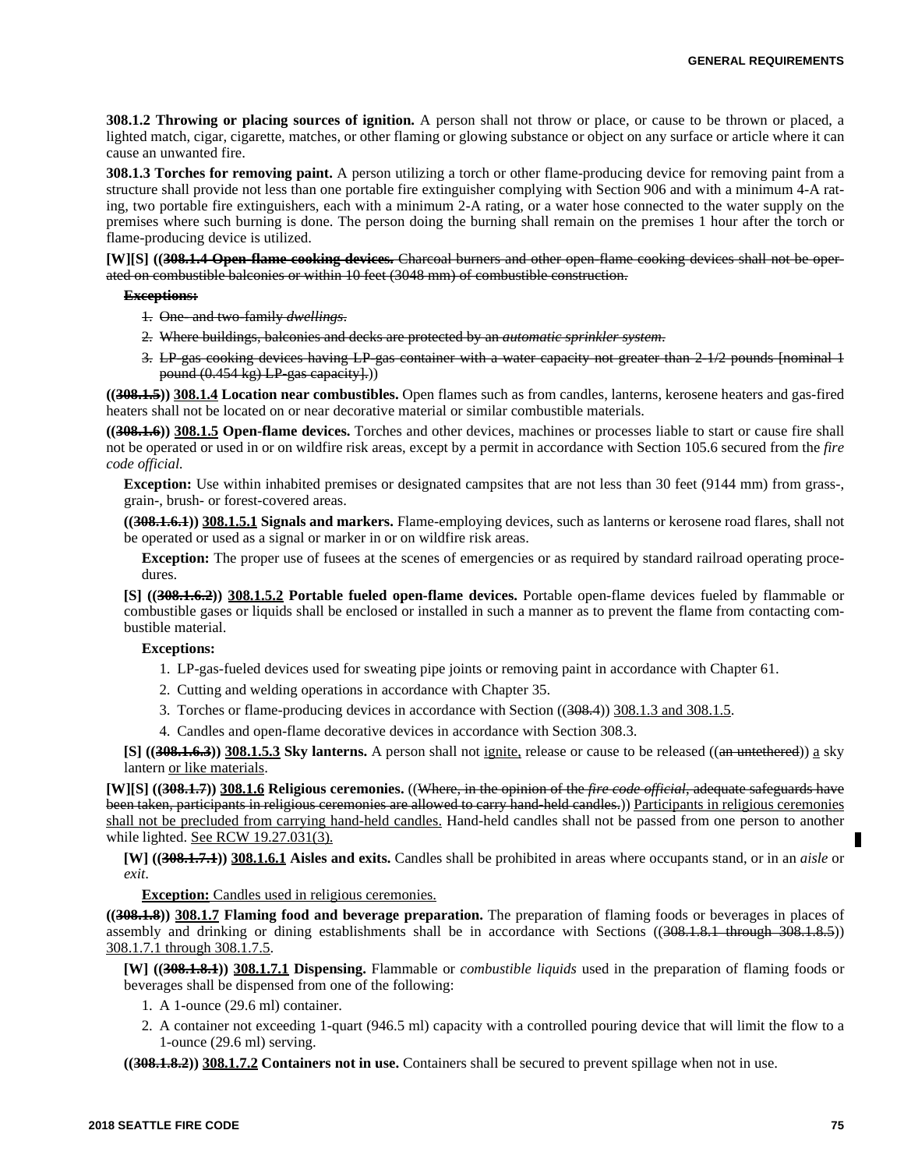**308.1.2 Throwing or placing sources of ignition.** A person shall not throw or place, or cause to be thrown or placed, a lighted match, cigar, cigarette, matches, or other flaming or glowing substance or object on any surface or article where it can cause an unwanted fire.

**308.1.3 Torches for removing paint.** A person utilizing a torch or other flame-producing device for removing paint from a structure shall provide not less than one portable fire extinguisher complying with Section 906 and with a minimum 4-A rating, two portable fire extinguishers, each with a minimum 2-A rating, or a water hose connected to the water supply on the premises where such burning is done. The person doing the burning shall remain on the premises 1 hour after the torch or flame-producing device is utilized.

**[W][S] ((308.1.4 Open-flame cooking devices.** Charcoal burners and other open-flame cooking devices shall not be operated on combustible balconies or within 10 feet (3048 mm) of combustible construction.

#### **Exceptions:**

- 1. One- and two-family *dwellings*.
- 2. Where buildings, balconies and decks are protected by an *automatic sprinkler system*.
- 3. LP-gas cooking devices having LP-gas container with a water capacity not greater than 2-1/2 pounds [nominal 1 pound  $(0.454 \text{ kg})$  LP-gas capacity.)

**((308.1.5)) 308.1.4 Location near combustibles.** Open flames such as from candles, lanterns, kerosene heaters and gas-fired heaters shall not be located on or near decorative material or similar combustible materials.

**((308.1.6)) 308.1.5 Open-flame devices.** Torches and other devices, machines or processes liable to start or cause fire shall not be operated or used in or on wildfire risk areas, except by a permit in accordance with Section 105.6 secured from the *fire code official.*

**Exception:** Use within inhabited premises or designated campsites that are not less than 30 feet (9144 mm) from grass-, grain-, brush- or forest-covered areas.

**((308.1.6.1)) 308.1.5.1 Signals and markers.** Flame-employing devices, such as lanterns or kerosene road flares, shall not be operated or used as a signal or marker in or on wildfire risk areas.

**Exception:** The proper use of fusees at the scenes of emergencies or as required by standard railroad operating procedures.

**[S] ((308.1.6.2)) 308.1.5.2 Portable fueled open-flame devices.** Portable open-flame devices fueled by flammable or combustible gases or liquids shall be enclosed or installed in such a manner as to prevent the flame from contacting combustible material.

#### **Exceptions:**

- 1. LP-gas-fueled devices used for sweating pipe joints or removing paint in accordance with Chapter 61.
- 2. Cutting and welding operations in accordance with Chapter 35.
- 3. Torches or flame-producing devices in accordance with Section ((308.4)) 308.1.3 and 308.1.5.
- 4. Candles and open-flame decorative devices in accordance with Section 308.3.

**[S]** ((308.1.6.3)) 308.1.5.3 Sky lanterns. A person shall not ignite, release or cause to be released ((an untethered)) a sky lantern or like materials.

**[W][S] ((308.1.7)) 308.1.6 Religious ceremonies.** ((Where, in the opinion of the *fire code official*, adequate safeguards have been taken, participants in religious ceremonies are allowed to carry hand-held candles.)) Participants in religious ceremonies shall not be precluded from carrying hand-held candles. Hand-held candles shall not be passed from one person to another while lighted. See RCW 19.27.031(3).

**[W] ((308.1.7.1)) 308.1.6.1 Aisles and exits.** Candles shall be prohibited in areas where occupants stand, or in an *aisle* or *exit*.

#### **Exception:** Candles used in religious ceremonies.

**((308.1.8)) 308.1.7 Flaming food and beverage preparation.** The preparation of flaming foods or beverages in places of assembly and drinking or dining establishments shall be in accordance with Sections ((308.1.8.1 through 308.1.8.5)) 308.1.7.1 through 308.1.7.5.

**[W] ((308.1.8.1)) 308.1.7.1 Dispensing.** Flammable or *combustible liquids* used in the preparation of flaming foods or beverages shall be dispensed from one of the following:

- 1. A 1-ounce (29.6 ml) container.
- 2. A container not exceeding 1-quart (946.5 ml) capacity with a controlled pouring device that will limit the flow to a 1-ounce (29.6 ml) serving.

**((308.1.8.2)) 308.1.7.2 Containers not in use.** Containers shall be secured to prevent spillage when not in use.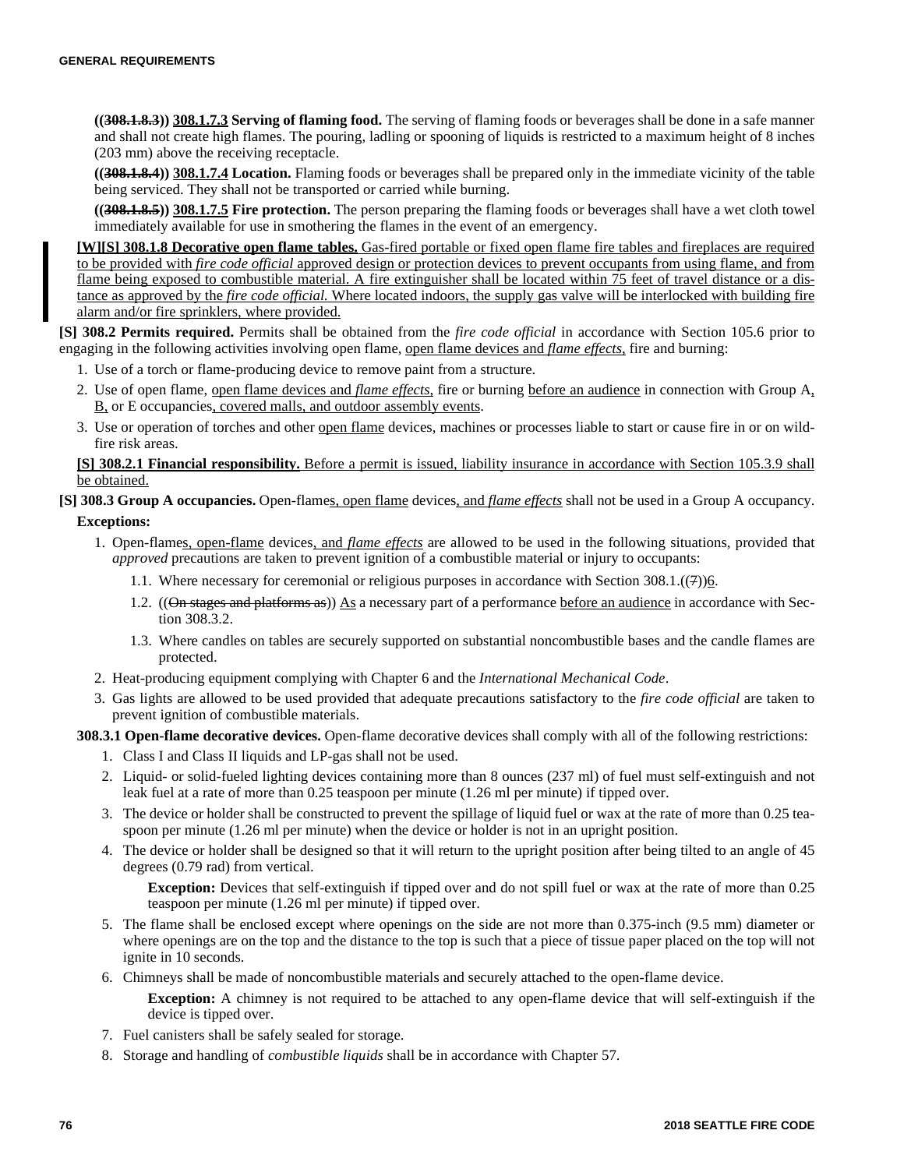**((308.1.8.3)) 308.1.7.3 Serving of flaming food.** The serving of flaming foods or beverages shall be done in a safe manner and shall not create high flames. The pouring, ladling or spooning of liquids is restricted to a maximum height of 8 inches (203 mm) above the receiving receptacle.

**((308.1.8.4)) 308.1.7.4 Location.** Flaming foods or beverages shall be prepared only in the immediate vicinity of the table being serviced. They shall not be transported or carried while burning.

**((308.1.8.5)) 308.1.7.5 Fire protection.** The person preparing the flaming foods or beverages shall have a wet cloth towel immediately available for use in smothering the flames in the event of an emergency.

**[W][S] 308.1.8 Decorative open flame tables.** Gas-fired portable or fixed open flame fire tables and fireplaces are required to be provided with *fire code official* approved design or protection devices to prevent occupants from using flame, and from flame being exposed to combustible material. A fire extinguisher shall be located within 75 feet of travel distance or a distance as approved by the *fire code official.* Where located indoors, the supply gas valve will be interlocked with building fire alarm and/or fire sprinklers, where provided.

**[S] 308.2 Permits required.** Permits shall be obtained from the *fire code official* in accordance with Section 105.6 prior to engaging in the following activities involving open flame, open flame devices and *flame effects,* fire and burning:

- 1. Use of a torch or flame-producing device to remove paint from a structure.
- 2. Use of open flame, open flame devices and *flame effects,* fire or burning before an audience in connection with Group A, B, or E occupancies, covered malls, and outdoor assembly events.
- 3. Use or operation of torches and other open flame devices, machines or processes liable to start or cause fire in or on wildfire risk areas.

**[S] 308.2.1 Financial responsibility.** Before a permit is issued, liability insurance in accordance with Section 105.3.9 shall be obtained.

# **[S] 308.3 Group A occupancies.** Open-flames, open flame devices, and *flame effects* shall not be used in a Group A occupancy. **Exceptions:**

- 1. Open-flames, open-flame devices, and *flame effects* are allowed to be used in the following situations, provided that *approved* precautions are taken to prevent ignition of a combustible material or injury to occupants:
	- 1.1. Where necessary for ceremonial or religious purposes in accordance with Section 308.1.((7))6.
	- 1.2. ((On stages and platforms as)) As a necessary part of a performance before an audience in accordance with Section 308.3.2.
	- 1.3. Where candles on tables are securely supported on substantial noncombustible bases and the candle flames are protected.
- 2. Heat-producing equipment complying with Chapter 6 and the *International Mechanical Code*.
- 3. Gas lights are allowed to be used provided that adequate precautions satisfactory to the *fire code official* are taken to prevent ignition of combustible materials.

**308.3.1 Open-flame decorative devices.** Open-flame decorative devices shall comply with all of the following restrictions:

- 1. Class I and Class II liquids and LP-gas shall not be used.
- 2. Liquid- or solid-fueled lighting devices containing more than 8 ounces (237 ml) of fuel must self-extinguish and not leak fuel at a rate of more than 0.25 teaspoon per minute (1.26 ml per minute) if tipped over.
- 3. The device or holder shall be constructed to prevent the spillage of liquid fuel or wax at the rate of more than 0.25 teaspoon per minute (1.26 ml per minute) when the device or holder is not in an upright position.
- 4. The device or holder shall be designed so that it will return to the upright position after being tilted to an angle of 45 degrees (0.79 rad) from vertical.

**Exception:** Devices that self-extinguish if tipped over and do not spill fuel or wax at the rate of more than 0.25 teaspoon per minute (1.26 ml per minute) if tipped over.

- 5. The flame shall be enclosed except where openings on the side are not more than 0.375-inch (9.5 mm) diameter or where openings are on the top and the distance to the top is such that a piece of tissue paper placed on the top will not ignite in 10 seconds.
- 6. Chimneys shall be made of noncombustible materials and securely attached to the open-flame device.

**Exception:** A chimney is not required to be attached to any open-flame device that will self-extinguish if the device is tipped over.

- 7. Fuel canisters shall be safely sealed for storage.
- 8. Storage and handling of *combustible liquids* shall be in accordance with Chapter 57.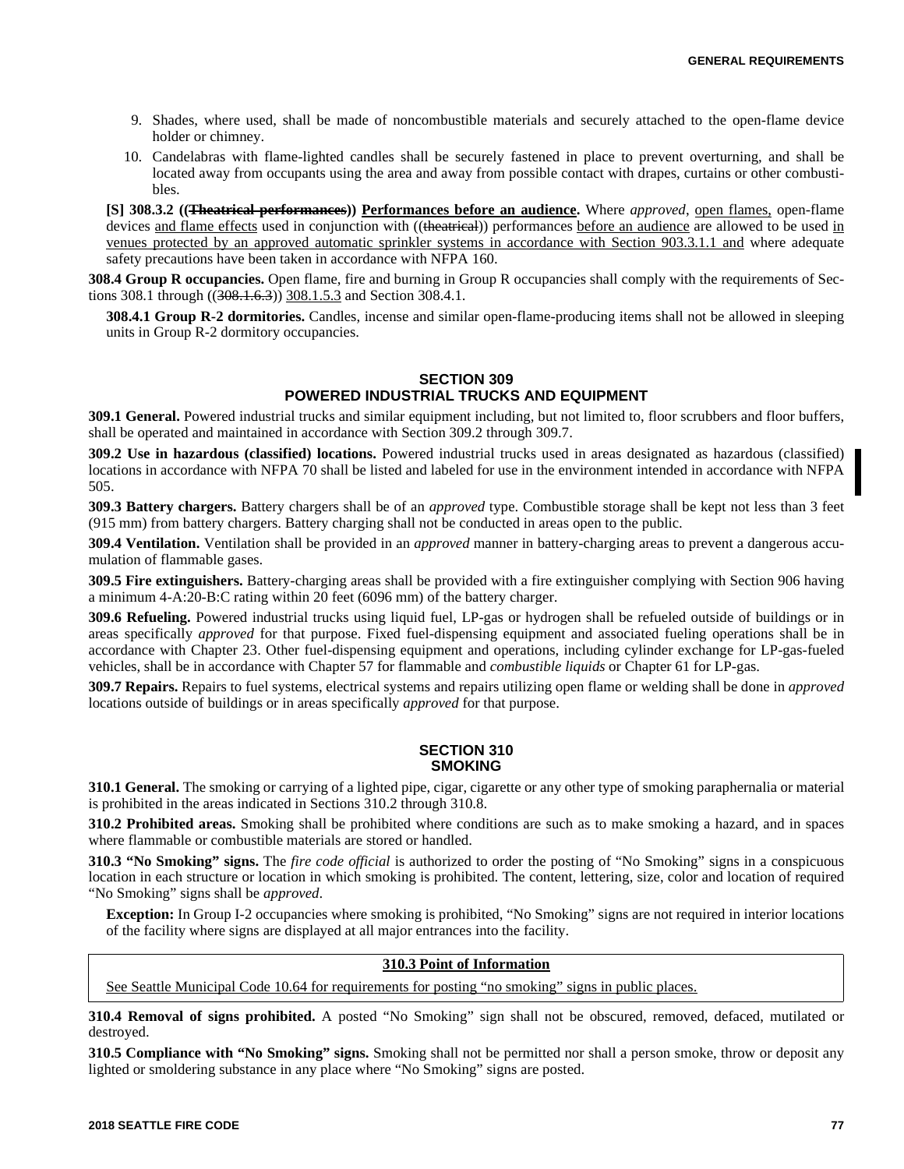- 9. Shades, where used, shall be made of noncombustible materials and securely attached to the open-flame device holder or chimney.
- 10. Candelabras with flame-lighted candles shall be securely fastened in place to prevent overturning, and shall be located away from occupants using the area and away from possible contact with drapes, curtains or other combustibles.

**[S] 308.3.2 ((Theatrical performances)) Performances before an audience.** Where *approved*, open flames, open-flame devices and flame effects used in conjunction with ((theatrical)) performances before an audience are allowed to be used in venues protected by an approved automatic sprinkler systems in accordance with Section 903.3.1.1 and where adequate safety precautions have been taken in accordance with NFPA 160.

**308.4 Group R occupancies.** Open flame, fire and burning in Group R occupancies shall comply with the requirements of Sections 308.1 through ((308.1.6.3)) 308.1.5.3 and Section 308.4.1.

**308.4.1 Group R-2 dormitories.** Candles, incense and similar open-flame-producing items shall not be allowed in sleeping units in Group R-2 dormitory occupancies.

# **SECTION 309 POWERED INDUSTRIAL TRUCKS AND EQUIPMENT**

**309.1 General.** Powered industrial trucks and similar equipment including, but not limited to, floor scrubbers and floor buffers, shall be operated and maintained in accordance with Section 309.2 through 309.7.

**309.2 Use in hazardous (classified) locations.** Powered industrial trucks used in areas designated as hazardous (classified) locations in accordance with NFPA 70 shall be listed and labeled for use in the environment intended in accordance with NFPA 505.

**309.3 Battery chargers.** Battery chargers shall be of an *approved* type. Combustible storage shall be kept not less than 3 feet (915 mm) from battery chargers. Battery charging shall not be conducted in areas open to the public.

**309.4 Ventilation.** Ventilation shall be provided in an *approved* manner in battery-charging areas to prevent a dangerous accumulation of flammable gases.

**309.5 Fire extinguishers.** Battery-charging areas shall be provided with a fire extinguisher complying with Section 906 having a minimum 4-A:20-B:C rating within 20 feet (6096 mm) of the battery charger.

**309.6 Refueling.** Powered industrial trucks using liquid fuel, LP-gas or hydrogen shall be refueled outside of buildings or in areas specifically *approved* for that purpose. Fixed fuel-dispensing equipment and associated fueling operations shall be in accordance with Chapter 23. Other fuel-dispensing equipment and operations, including cylinder exchange for LP-gas-fueled vehicles, shall be in accordance with Chapter 57 for flammable and *combustible liquids* or Chapter 61 for LP-gas.

**309.7 Repairs.** Repairs to fuel systems, electrical systems and repairs utilizing open flame or welding shall be done in *approved* locations outside of buildings or in areas specifically *approved* for that purpose.

## **SECTION 310 SMOKING**

**310.1 General.** The smoking or carrying of a lighted pipe, cigar, cigarette or any other type of smoking paraphernalia or material is prohibited in the areas indicated in Sections 310.2 through 310.8.

**310.2 Prohibited areas.** Smoking shall be prohibited where conditions are such as to make smoking a hazard, and in spaces where flammable or combustible materials are stored or handled.

**310.3 "No Smoking" signs.** The *fire code official* is authorized to order the posting of "No Smoking" signs in a conspicuous location in each structure or location in which smoking is prohibited. The content, lettering, size, color and location of required "No Smoking" signs shall be *approved*.

**Exception:** In Group I-2 occupancies where smoking is prohibited, "No Smoking" signs are not required in interior locations of the facility where signs are displayed at all major entrances into the facility.

# **310.3 Point of Information**

See Seattle Municipal Code 10.64 for requirements for posting "no smoking" signs in public places.

**310.4 Removal of signs prohibited.** A posted "No Smoking" sign shall not be obscured, removed, defaced, mutilated or destroyed.

**310.5 Compliance with "No Smoking" signs.** Smoking shall not be permitted nor shall a person smoke, throw or deposit any lighted or smoldering substance in any place where "No Smoking" signs are posted.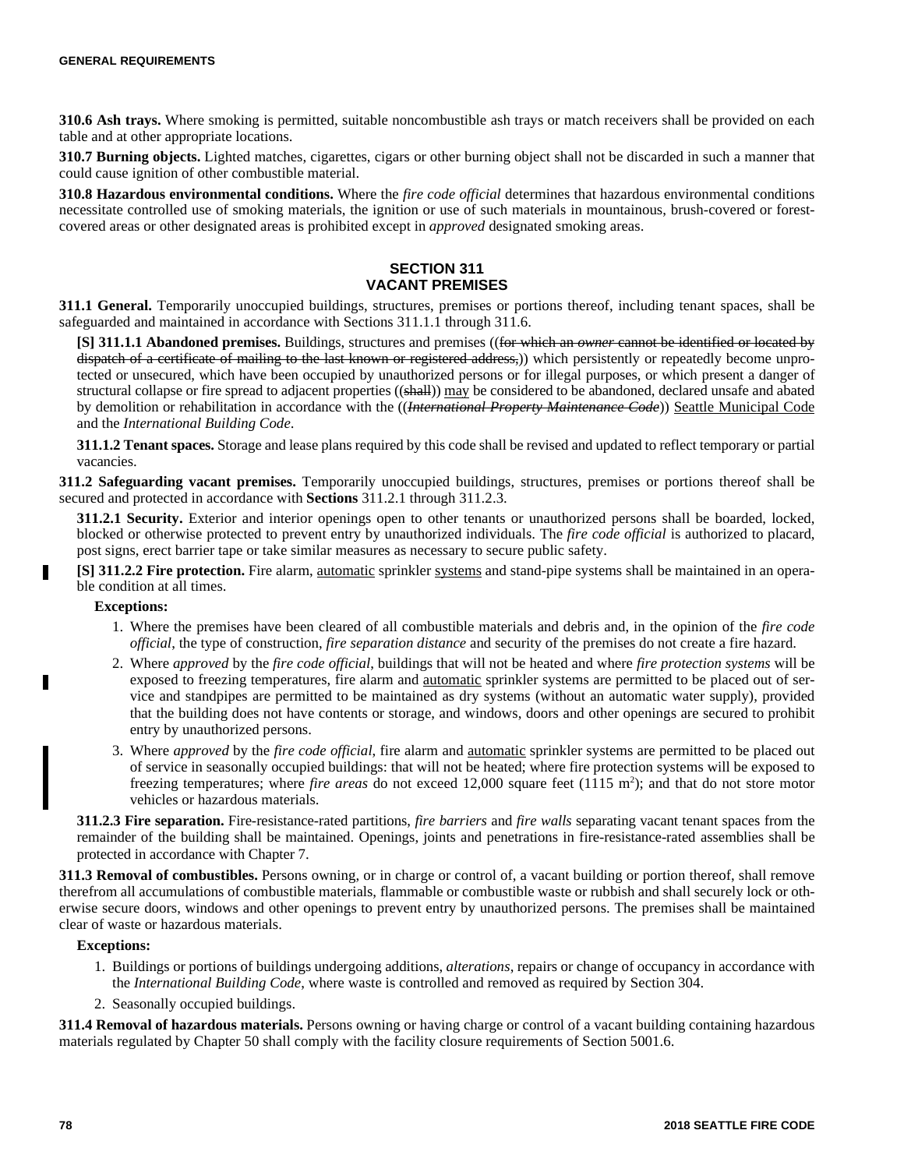**310.6 Ash trays.** Where smoking is permitted, suitable noncombustible ash trays or match receivers shall be provided on each table and at other appropriate locations.

**310.7 Burning objects.** Lighted matches, cigarettes, cigars or other burning object shall not be discarded in such a manner that could cause ignition of other combustible material.

**310.8 Hazardous environmental conditions.** Where the *fire code official* determines that hazardous environmental conditions necessitate controlled use of smoking materials, the ignition or use of such materials in mountainous, brush-covered or forestcovered areas or other designated areas is prohibited except in *approved* designated smoking areas.

## **SECTION 311 VACANT PREMISES**

**311.1 General.** Temporarily unoccupied buildings, structures, premises or portions thereof, including tenant spaces, shall be safeguarded and maintained in accordance with Sections 311.1.1 through 311.6.

**[S] 311.1.1 Abandoned premises.** Buildings, structures and premises ((for which an *owner* cannot be identified or located by dispatch of a certificate of mailing to the last known or registered address,)) which persistently or repeatedly become unprotected or unsecured, which have been occupied by unauthorized persons or for illegal purposes, or which present a danger of structural collapse or fire spread to adjacent properties ((shall)) may be considered to be abandoned, declared unsafe and abated by demolition or rehabilitation in accordance with the ((*International Property Maintenance Code*)) Seattle Municipal Code and the *International Building Code*.

**311.1.2 Tenant spaces.** Storage and lease plans required by this code shall be revised and updated to reflect temporary or partial vacancies.

**311.2 Safeguarding vacant premises.** Temporarily unoccupied buildings, structures, premises or portions thereof shall be secured and protected in accordance with **Sections** 311.2.1 through 311.2.3.

**311.2.1 Security.** Exterior and interior openings open to other tenants or unauthorized persons shall be boarded, locked, blocked or otherwise protected to prevent entry by unauthorized individuals. The *fire code official* is authorized to placard, post signs, erect barrier tape or take similar measures as necessary to secure public safety.

**[S] 311.2.2 Fire protection.** Fire alarm, automatic sprinkler systems and stand-pipe systems shall be maintained in an operable condition at all times.

## **Exceptions:**

П

- 1. Where the premises have been cleared of all combustible materials and debris and, in the opinion of the *fire code official*, the type of construction, *fire separation distance* and security of the premises do not create a fire hazard.
- 2. Where *approved* by the *fire code official*, buildings that will not be heated and where *fire protection systems* will be exposed to freezing temperatures, fire alarm and **automatic** sprinkler systems are permitted to be placed out of service and standpipes are permitted to be maintained as dry systems (without an automatic water supply), provided that the building does not have contents or storage, and windows, doors and other openings are secured to prohibit entry by unauthorized persons.
- 3. Where *approved* by the *fire code official*, fire alarm and automatic sprinkler systems are permitted to be placed out of service in seasonally occupied buildings: that will not be heated; where fire protection systems will be exposed to freezing temperatures; where *fire areas* do not exceed 12,000 square feet (1115 m<sup>2</sup>); and that do not store motor vehicles or hazardous materials.

**311.2.3 Fire separation.** Fire-resistance-rated partitions, *fire barriers* and *fire walls* separating vacant tenant spaces from the remainder of the building shall be maintained. Openings, joints and penetrations in fire-resistance-rated assemblies shall be protected in accordance with Chapter 7.

**311.3 Removal of combustibles.** Persons owning, or in charge or control of, a vacant building or portion thereof, shall remove therefrom all accumulations of combustible materials, flammable or combustible waste or rubbish and shall securely lock or otherwise secure doors, windows and other openings to prevent entry by unauthorized persons. The premises shall be maintained clear of waste or hazardous materials.

#### **Exceptions:**

- 1. Buildings or portions of buildings undergoing additions, *alterations*, repairs or change of occupancy in accordance with the *International Building Code*, where waste is controlled and removed as required by Section 304.
- 2. Seasonally occupied buildings.

**311.4 Removal of hazardous materials.** Persons owning or having charge or control of a vacant building containing hazardous materials regulated by Chapter 50 shall comply with the facility closure requirements of Section 5001.6.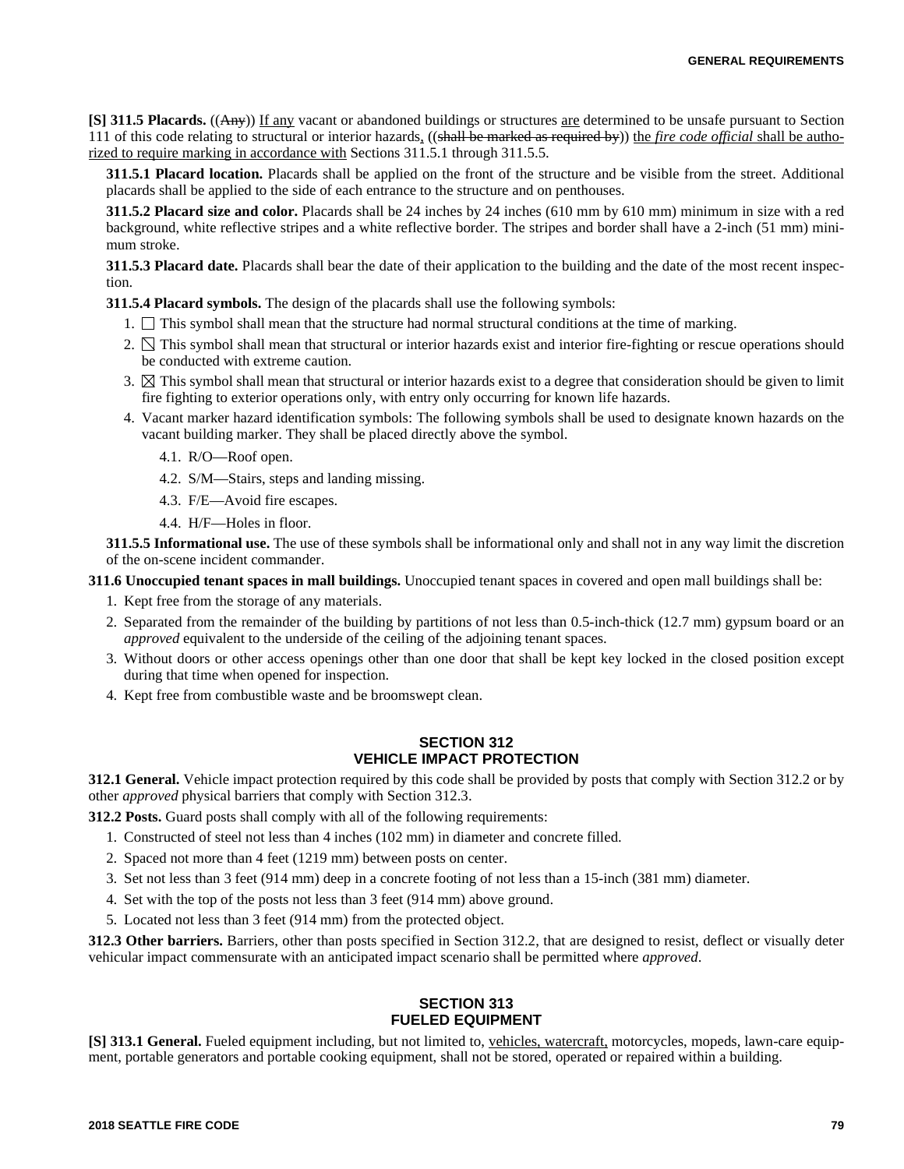**[S] 311.5 Placards.** ((Any)) If any vacant or abandoned buildings or structures are determined to be unsafe pursuant to Section 111 of this code relating to structural or interior hazards, ((shall be marked as required by)) the *fire code official* shall be authorized to require marking in accordance with Sections 311.5.1 through 311.5.5.

**311.5.1 Placard location.** Placards shall be applied on the front of the structure and be visible from the street. Additional placards shall be applied to the side of each entrance to the structure and on penthouses.

**311.5.2 Placard size and color.** Placards shall be 24 inches by 24 inches (610 mm by 610 mm) minimum in size with a red background, white reflective stripes and a white reflective border. The stripes and border shall have a 2-inch (51 mm) minimum stroke.

**311.5.3 Placard date.** Placards shall bear the date of their application to the building and the date of the most recent inspection.

**311.5.4 Placard symbols.** The design of the placards shall use the following symbols:

- 1.  $\Box$  This symbol shall mean that the structure had normal structural conditions at the time of marking.
- 2.  $\Box$  This symbol shall mean that structural or interior hazards exist and interior fire-fighting or rescue operations should be conducted with extreme caution.
- 3.  $\boxtimes$  This symbol shall mean that structural or interior hazards exist to a degree that consideration should be given to limit fire fighting to exterior operations only, with entry only occurring for known life hazards.
- 4. Vacant marker hazard identification symbols: The following symbols shall be used to designate known hazards on the vacant building marker. They shall be placed directly above the symbol.
	- 4.1. R/O—Roof open.
	- 4.2. S/M—Stairs, steps and landing missing.
	- 4.3. F/E—Avoid fire escapes.
	- 4.4. H/F—Holes in floor.

**311.5.5 Informational use.** The use of these symbols shall be informational only and shall not in any way limit the discretion of the on-scene incident commander.

## **311.6 Unoccupied tenant spaces in mall buildings.** Unoccupied tenant spaces in covered and open mall buildings shall be:

- 1. Kept free from the storage of any materials.
- 2. Separated from the remainder of the building by partitions of not less than 0.5-inch-thick (12.7 mm) gypsum board or an *approved* equivalent to the underside of the ceiling of the adjoining tenant spaces.
- 3. Without doors or other access openings other than one door that shall be kept key locked in the closed position except during that time when opened for inspection.
- 4. Kept free from combustible waste and be broomswept clean.

# **SECTION 312 VEHICLE IMPACT PROTECTION**

**312.1 General.** Vehicle impact protection required by this code shall be provided by posts that comply with Section 312.2 or by other *approved* physical barriers that comply with Section 312.3.

**312.2 Posts.** Guard posts shall comply with all of the following requirements:

- 1. Constructed of steel not less than 4 inches (102 mm) in diameter and concrete filled.
- 2. Spaced not more than 4 feet (1219 mm) between posts on center.
- 3. Set not less than 3 feet (914 mm) deep in a concrete footing of not less than a 15-inch (381 mm) diameter.
- 4. Set with the top of the posts not less than 3 feet (914 mm) above ground.
- 5. Located not less than 3 feet (914 mm) from the protected object.

**312.3 Other barriers.** Barriers, other than posts specified in Section 312.2, that are designed to resist, deflect or visually deter vehicular impact commensurate with an anticipated impact scenario shall be permitted where *approved*.

# **SECTION 313 FUELED EQUIPMENT**

**[S] 313.1 General.** Fueled equipment including, but not limited to, vehicles, watercraft, motorcycles, mopeds, lawn-care equipment, portable generators and portable cooking equipment, shall not be stored, operated or repaired within a building.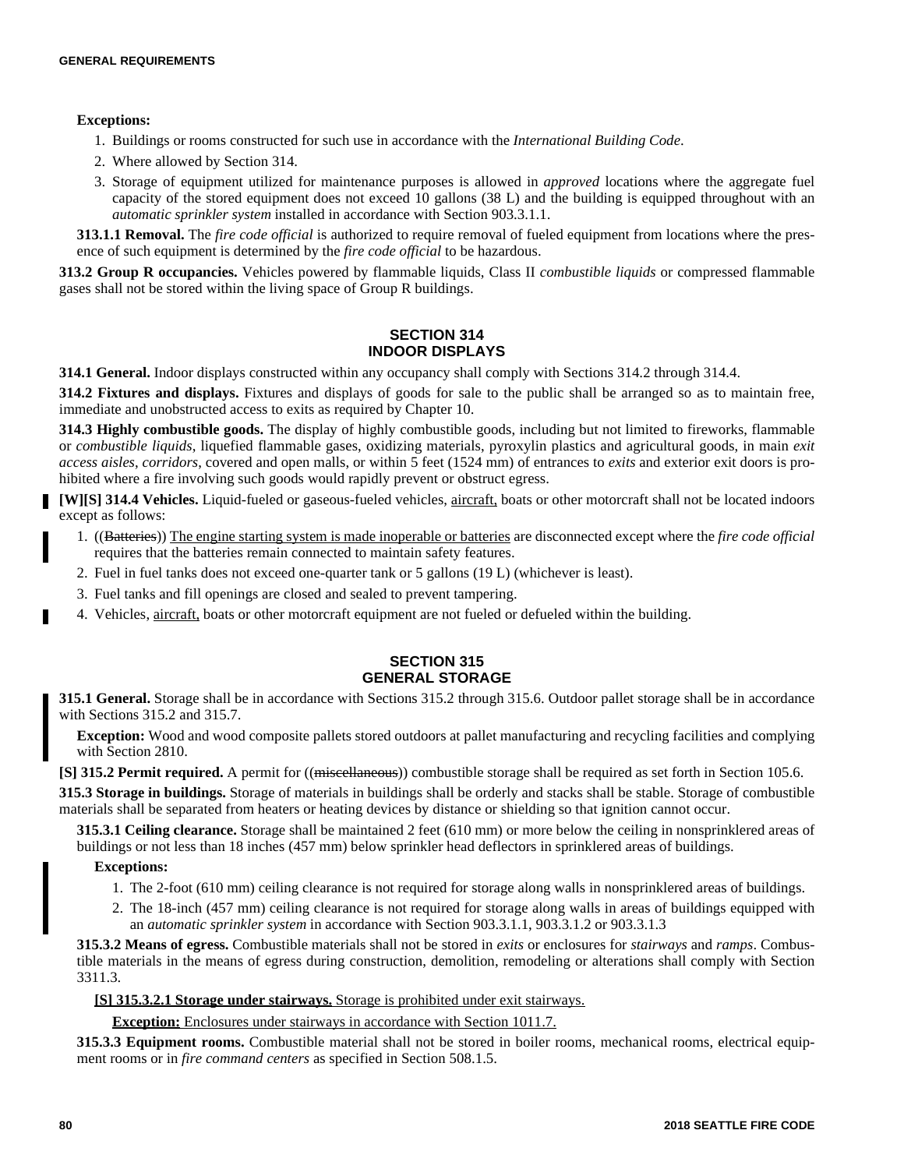### **Exceptions:**

- 1. Buildings or rooms constructed for such use in accordance with the *International Building Code*.
- 2. Where allowed by Section 314.
- 3. Storage of equipment utilized for maintenance purposes is allowed in *approved* locations where the aggregate fuel capacity of the stored equipment does not exceed 10 gallons (38 L) and the building is equipped throughout with an *automatic sprinkler system* installed in accordance with Section 903.3.1.1.

**313.1.1 Removal.** The *fire code official* is authorized to require removal of fueled equipment from locations where the presence of such equipment is determined by the *fire code official* to be hazardous.

**313.2 Group R occupancies.** Vehicles powered by flammable liquids, Class II *combustible liquids* or compressed flammable gases shall not be stored within the living space of Group R buildings.

## **SECTION 314 INDOOR DISPLAYS**

**314.1 General.** Indoor displays constructed within any occupancy shall comply with Sections 314.2 through 314.4.

**314.2 Fixtures and displays.** Fixtures and displays of goods for sale to the public shall be arranged so as to maintain free, immediate and unobstructed access to exits as required by Chapter 10.

**314.3 Highly combustible goods.** The display of highly combustible goods, including but not limited to fireworks, flammable or *combustible liquids*, liquefied flammable gases, oxidizing materials, pyroxylin plastics and agricultural goods, in main *exit access aisles*, *corridors*, covered and open malls, or within 5 feet (1524 mm) of entrances to *exits* and exterior exit doors is prohibited where a fire involving such goods would rapidly prevent or obstruct egress.

**[W][S] 314.4 Vehicles.** Liquid-fueled or gaseous-fueled vehicles, aircraft, boats or other motorcraft shall not be located indoors except as follows:

- 1. ((Batteries)) The engine starting system is made inoperable or batteries are disconnected except where the *fire code official* requires that the batteries remain connected to maintain safety features.
- 2. Fuel in fuel tanks does not exceed one-quarter tank or 5 gallons (19 L) (whichever is least).
- 3. Fuel tanks and fill openings are closed and sealed to prevent tampering.
- 4. Vehicles, aircraft, boats or other motorcraft equipment are not fueled or defueled within the building.

## **SECTION 315 GENERAL STORAGE**

**315.1 General.** Storage shall be in accordance with Sections 315.2 through 315.6. Outdoor pallet storage shall be in accordance with Sections 315.2 and 315.7.

**Exception:** Wood and wood composite pallets stored outdoors at pallet manufacturing and recycling facilities and complying with Section 2810.

**[S] 315.2 Permit required.** A permit for ((miscellaneous)) combustible storage shall be required as set forth in Section 105.6.

**315.3 Storage in buildings.** Storage of materials in buildings shall be orderly and stacks shall be stable. Storage of combustible materials shall be separated from heaters or heating devices by distance or shielding so that ignition cannot occur.

**315.3.1 Ceiling clearance.** Storage shall be maintained 2 feet (610 mm) or more below the ceiling in nonsprinklered areas of buildings or not less than 18 inches (457 mm) below sprinkler head deflectors in sprinklered areas of buildings.

## **Exceptions:**

- 1. The 2-foot (610 mm) ceiling clearance is not required for storage along walls in nonsprinklered areas of buildings.
- 2. The 18-inch (457 mm) ceiling clearance is not required for storage along walls in areas of buildings equipped with an *automatic sprinkler system* in accordance with Section 903.3.1.1, 903.3.1.2 or 903.3.1.3

**315.3.2 Means of egress.** Combustible materials shall not be stored in *exits* or enclosures for *stairways* and *ramps*. Combustible materials in the means of egress during construction, demolition, remodeling or alterations shall comply with Section 3311.3.

#### **[S] 315.3.2.1 Storage under stairways.** Storage is prohibited under exit stairways.

**Exception:** Enclosures under stairways in accordance with Section 1011.7.

**315.3.3 Equipment rooms.** Combustible material shall not be stored in boiler rooms, mechanical rooms, electrical equipment rooms or in *fire command centers* as specified in Section 508.1.5.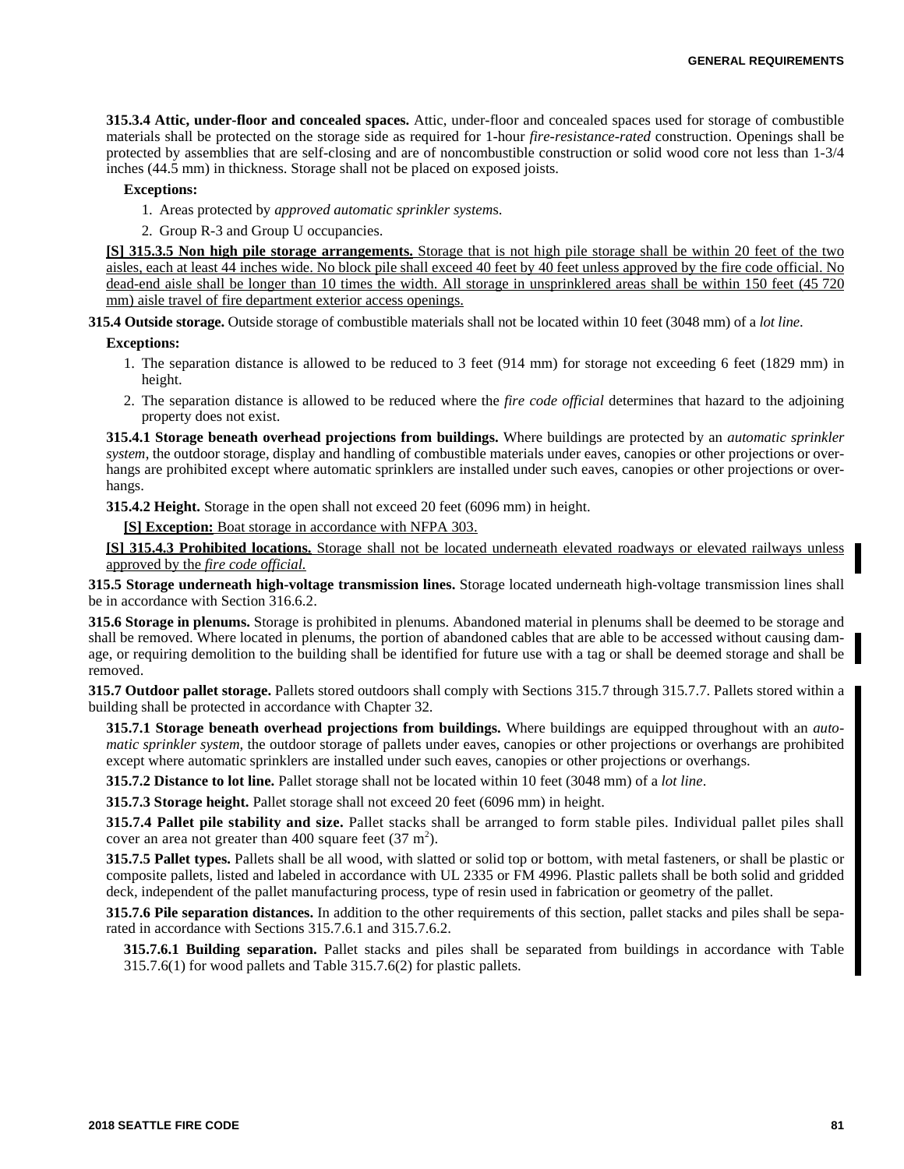**315.3.4 Attic, under-floor and concealed spaces.** Attic, under-floor and concealed spaces used for storage of combustible materials shall be protected on the storage side as required for 1-hour *fire-resistance-rated* construction. Openings shall be protected by assemblies that are self-closing and are of noncombustible construction or solid wood core not less than 1-3/4 inches (44.5 mm) in thickness. Storage shall not be placed on exposed joists.

#### **Exceptions:**

- 1. Areas protected by *approved automatic sprinkler system*s.
- 2. Group R-3 and Group U occupancies.

**[S] 315.3.5 Non high pile storage arrangements.** Storage that is not high pile storage shall be within 20 feet of the two aisles, each at least 44 inches wide. No block pile shall exceed 40 feet by 40 feet unless approved by the fire code official. No dead-end aisle shall be longer than 10 times the width. All storage in unsprinklered areas shall be within 150 feet (45 720 mm) aisle travel of fire department exterior access openings.

**315.4 Outside storage.** Outside storage of combustible materials shall not be located within 10 feet (3048 mm) of a *lot line*.

#### **Exceptions:**

- 1. The separation distance is allowed to be reduced to 3 feet (914 mm) for storage not exceeding 6 feet (1829 mm) in height.
- 2. The separation distance is allowed to be reduced where the *fire code official* determines that hazard to the adjoining property does not exist.

**315.4.1 Storage beneath overhead projections from buildings.** Where buildings are protected by an *automatic sprinkler system*, the outdoor storage, display and handling of combustible materials under eaves, canopies or other projections or overhangs are prohibited except where automatic sprinklers are installed under such eaves, canopies or other projections or overhangs.

**315.4.2 Height.** Storage in the open shall not exceed 20 feet (6096 mm) in height.

**[S] Exception:** Boat storage in accordance with NFPA 303.

**[S] 315.4.3 Prohibited locations.** Storage shall not be located underneath elevated roadways or elevated railways unless approved by the *fire code official.*

**315.5 Storage underneath high-voltage transmission lines.** Storage located underneath high-voltage transmission lines shall be in accordance with Section 316.6.2.

**315.6 Storage in plenums.** Storage is prohibited in plenums. Abandoned material in plenums shall be deemed to be storage and shall be removed. Where located in plenums, the portion of abandoned cables that are able to be accessed without causing damage, or requiring demolition to the building shall be identified for future use with a tag or shall be deemed storage and shall be removed.

**315.7 Outdoor pallet storage.** Pallets stored outdoors shall comply with Sections 315.7 through 315.7.7. Pallets stored within a building shall be protected in accordance with Chapter 32.

**315.7.1 Storage beneath overhead projections from buildings.** Where buildings are equipped throughout with an *automatic sprinkler system*, the outdoor storage of pallets under eaves, canopies or other projections or overhangs are prohibited except where automatic sprinklers are installed under such eaves, canopies or other projections or overhangs.

**315.7.2 Distance to lot line.** Pallet storage shall not be located within 10 feet (3048 mm) of a *lot line*.

**315.7.3 Storage height.** Pallet storage shall not exceed 20 feet (6096 mm) in height.

**315.7.4 Pallet pile stability and size.** Pallet stacks shall be arranged to form stable piles. Individual pallet piles shall cover an area not greater than 400 square feet  $(37 \text{ m}^2)$ .

**315.7.5 Pallet types.** Pallets shall be all wood, with slatted or solid top or bottom, with metal fasteners, or shall be plastic or composite pallets, listed and labeled in accordance with UL 2335 or FM 4996. Plastic pallets shall be both solid and gridded deck, independent of the pallet manufacturing process, type of resin used in fabrication or geometry of the pallet.

**315.7.6 Pile separation distances.** In addition to the other requirements of this section, pallet stacks and piles shall be separated in accordance with Sections 315.7.6.1 and 315.7.6.2.

**315.7.6.1 Building separation.** Pallet stacks and piles shall be separated from buildings in accordance with Table 315.7.6(1) for wood pallets and Table 315.7.6(2) for plastic pallets.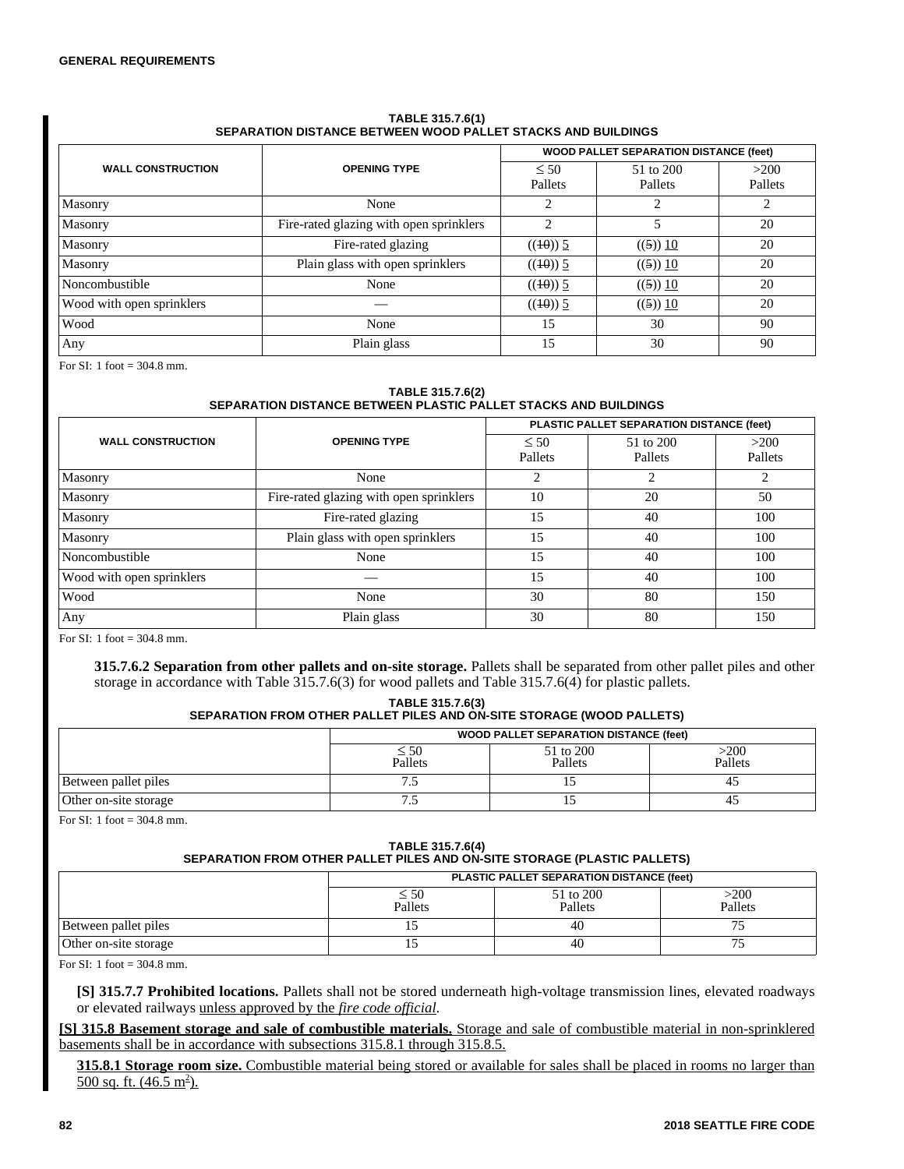#### **TABLE 315.7.6(1) SEPARATION DISTANCE BETWEEN WOOD PALLET STACKS AND BUILDINGS**

|                           |                                         | <b>WOOD PALLET SEPARATION DISTANCE (feet)</b> |                      |                 |
|---------------------------|-----------------------------------------|-----------------------------------------------|----------------------|-----------------|
| <b>WALL CONSTRUCTION</b>  | <b>OPENING TYPE</b>                     | $\leq 50$<br>Pallets                          | 51 to 200<br>Pallets | >200<br>Pallets |
| Masonry                   | None                                    |                                               |                      | 2               |
| Masonry                   | Fire-rated glazing with open sprinklers | $\mathcal{D}$                                 |                      | 20              |
| Masonry                   | Fire-rated glazing                      | $((10))$ 5                                    | ((5)) 10             | 20              |
| Masonry                   | Plain glass with open sprinklers        | $((10))$ 5                                    | ((5)) 10             | 20              |
| Noncombustible            | None                                    | $((10))$ 5                                    | ((5)) 10             | 20              |
| Wood with open sprinklers |                                         | $((10))$ 5                                    | ((5)) 10             | 20              |
| Wood                      | None                                    | 15                                            | 30                   | 90              |
| Any                       | Plain glass                             | 15                                            | 30                   | 90              |

For SI: 1 foot = 304.8 mm.

#### **TABLE 315.7.6(2) SEPARATION DISTANCE BETWEEN PLASTIC PALLET STACKS AND BUILDINGS**

|                           | <b>OPENING TYPE</b>                     | PLASTIC PALLET SEPARATION DISTANCE (feet) |                      |                 |
|---------------------------|-----------------------------------------|-------------------------------------------|----------------------|-----------------|
| <b>WALL CONSTRUCTION</b>  |                                         | $\leq 50$<br>Pallets                      | 51 to 200<br>Pallets | >200<br>Pallets |
| Masonry                   | None                                    | ∍                                         | ↑                    | 2               |
| Masonry                   | Fire-rated glazing with open sprinklers | 10                                        | 20                   | 50              |
| Masonry                   | Fire-rated glazing                      | 15                                        | 40                   | 100             |
| Masonry                   | Plain glass with open sprinklers        | 15                                        | 40                   | 100             |
| Noncombustible            | None                                    | 15                                        | 40                   | 100             |
| Wood with open sprinklers |                                         | 15                                        | 40                   | 100             |
| Wood                      | None                                    | 30                                        | 80                   | 150             |
| Any                       | Plain glass                             | 30                                        | 80                   | 150             |

For SI: 1 foot = 304.8 mm.

**315.7.6.2 Separation from other pallets and on-site storage.** Pallets shall be separated from other pallet piles and other storage in accordance with Table 315.7.6(3) for wood pallets and Table 315.7.6(4) for plastic pallets.

**TABLE 315.7.6(3)**

# **SEPARATION FROM OTHER PALLET PILES AND ON-SITE STORAGE (WOOD PALLETS)**

|                       | <b>WOOD PALLET SEPARATION DISTANCE (feet)</b> |                      |                 |  |
|-----------------------|-----------------------------------------------|----------------------|-----------------|--|
|                       | $\leq 50$<br>Pallets                          | 51 to 200<br>Pallets | >200<br>Pallets |  |
| Between pallet piles  |                                               |                      |                 |  |
| Other on-site storage | ر. ،                                          |                      | 4.              |  |

For SI: 1 foot =  $304.8$  mm.

# **TABLE 315.7.6(4) SEPARATION FROM OTHER PALLET PILES AND ON-SITE STORAGE (PLASTIC PALLETS)**

|                       | PLASTIC PALLET SEPARATION DISTANCE (feet) |                      |                 |  |
|-----------------------|-------------------------------------------|----------------------|-----------------|--|
|                       | $\leq 50$<br>Pallets                      | 51 to 200<br>Pallets | >200<br>Pallets |  |
| Between pallet piles  |                                           | 40                   |                 |  |
| Other on-site storage |                                           | 40                   |                 |  |

For SI: 1 foot  $= 304.8$  mm.

**[S] 315.7.7 Prohibited locations.** Pallets shall not be stored underneath high-voltage transmission lines, elevated roadways or elevated railways unless approved by the *fire code official*.

**[S] 315.8 Basement storage and sale of combustible materials.** Storage and sale of combustible material in non-sprinklered basements shall be in accordance with subsections 315.8.1 through 315.8.5.

**315.8.1 Storage room size.** Combustible material being stored or available for sales shall be placed in rooms no larger than  $500$  sq. ft.  $(46.5 \text{ m}^2)$ .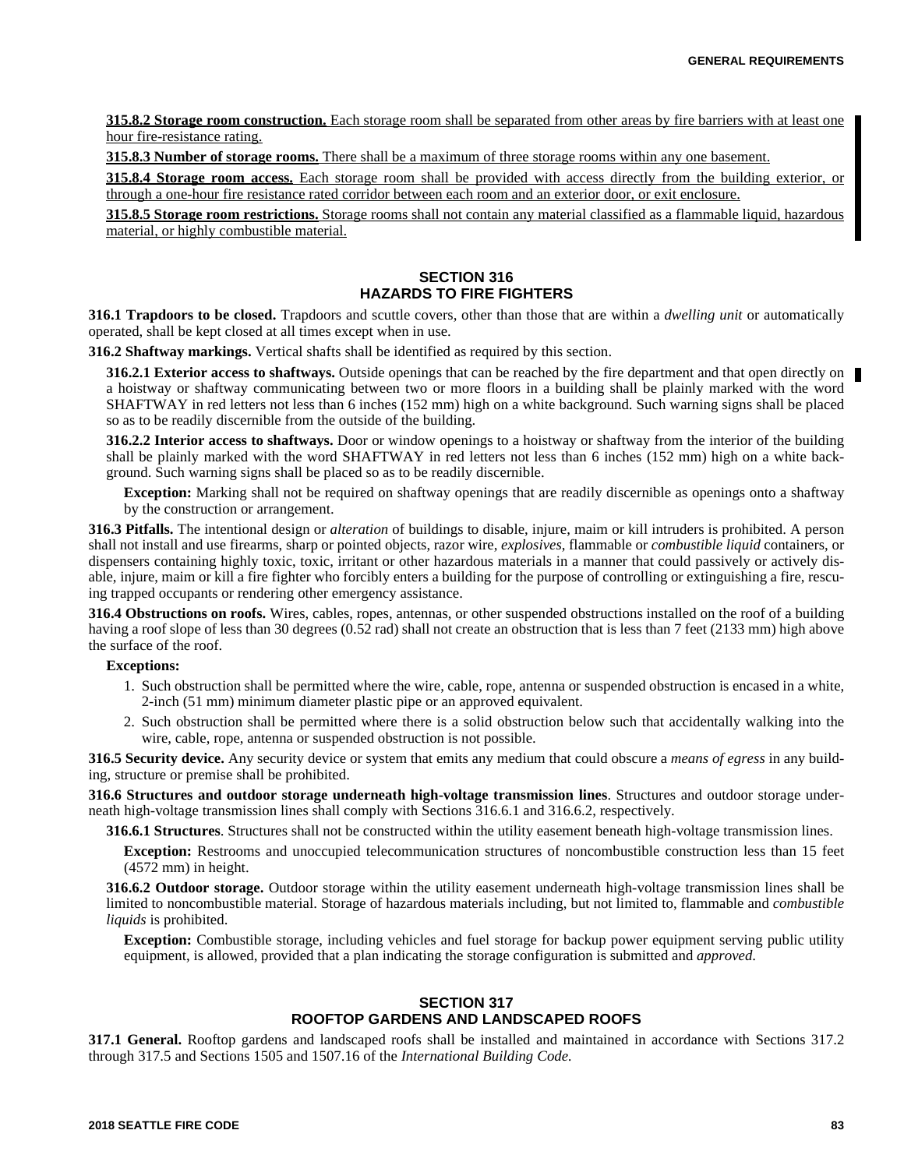**315.8.2 Storage room construction.** Each storage room shall be separated from other areas by fire barriers with at least one hour fire-resistance rating.

**315.8.3 Number of storage rooms.** There shall be a maximum of three storage rooms within any one basement.

**315.8.4 Storage room access.** Each storage room shall be provided with access directly from the building exterior, or through a one-hour fire resistance rated corridor between each room and an exterior door, or exit enclosure.

**315.8.5 Storage room restrictions.** Storage rooms shall not contain any material classified as a flammable liquid, hazardous material, or highly combustible material.

# **SECTION 316 HAZARDS TO FIRE FIGHTERS**

**316.1 Trapdoors to be closed.** Trapdoors and scuttle covers, other than those that are within a *dwelling unit* or automatically operated, shall be kept closed at all times except when in use.

**316.2 Shaftway markings.** Vertical shafts shall be identified as required by this section.

**316.2.1 Exterior access to shaftways.** Outside openings that can be reached by the fire department and that open directly on a hoistway or shaftway communicating between two or more floors in a building shall be plainly marked with the word SHAFTWAY in red letters not less than 6 inches (152 mm) high on a white background. Such warning signs shall be placed so as to be readily discernible from the outside of the building.

**316.2.2 Interior access to shaftways.** Door or window openings to a hoistway or shaftway from the interior of the building shall be plainly marked with the word SHAFTWAY in red letters not less than 6 inches (152 mm) high on a white background. Such warning signs shall be placed so as to be readily discernible.

**Exception:** Marking shall not be required on shaftway openings that are readily discernible as openings onto a shaftway by the construction or arrangement.

**316.3 Pitfalls.** The intentional design or *alteration* of buildings to disable, injure, maim or kill intruders is prohibited. A person shall not install and use firearms, sharp or pointed objects, razor wire, *explosives*, flammable or *combustible liquid* containers, or dispensers containing highly toxic, toxic, irritant or other hazardous materials in a manner that could passively or actively disable, injure, maim or kill a fire fighter who forcibly enters a building for the purpose of controlling or extinguishing a fire, rescuing trapped occupants or rendering other emergency assistance.

**316.4 Obstructions on roofs.** Wires, cables, ropes, antennas, or other suspended obstructions installed on the roof of a building having a roof slope of less than 30 degrees (0.52 rad) shall not create an obstruction that is less than 7 feet (2133 mm) high above the surface of the roof.

## **Exceptions:**

- 1. Such obstruction shall be permitted where the wire, cable, rope, antenna or suspended obstruction is encased in a white, 2-inch (51 mm) minimum diameter plastic pipe or an approved equivalent.
- 2. Such obstruction shall be permitted where there is a solid obstruction below such that accidentally walking into the wire, cable, rope, antenna or suspended obstruction is not possible.

**316.5 Security device.** Any security device or system that emits any medium that could obscure a *means of egress* in any building, structure or premise shall be prohibited.

**316.6 Structures and outdoor storage underneath high-voltage transmission lines**. Structures and outdoor storage underneath high-voltage transmission lines shall comply with Sections 316.6.1 and 316.6.2, respectively.

**316.6.1 Structures**. Structures shall not be constructed within the utility easement beneath high-voltage transmission lines.

**Exception:** Restrooms and unoccupied telecommunication structures of noncombustible construction less than 15 feet (4572 mm) in height.

**316.6.2 Outdoor storage.** Outdoor storage within the utility easement underneath high-voltage transmission lines shall be limited to noncombustible material. Storage of hazardous materials including, but not limited to, flammable and *combustible liquids* is prohibited.

**Exception:** Combustible storage, including vehicles and fuel storage for backup power equipment serving public utility equipment, is allowed, provided that a plan indicating the storage configuration is submitted and *approved*.

# **SECTION 317 ROOFTOP GARDENS AND LANDSCAPED ROOFS**

**317.1 General.** Rooftop gardens and landscaped roofs shall be installed and maintained in accordance with Sections 317.2 through 317.5 and Sections 1505 and 1507.16 of the *International Building Code.*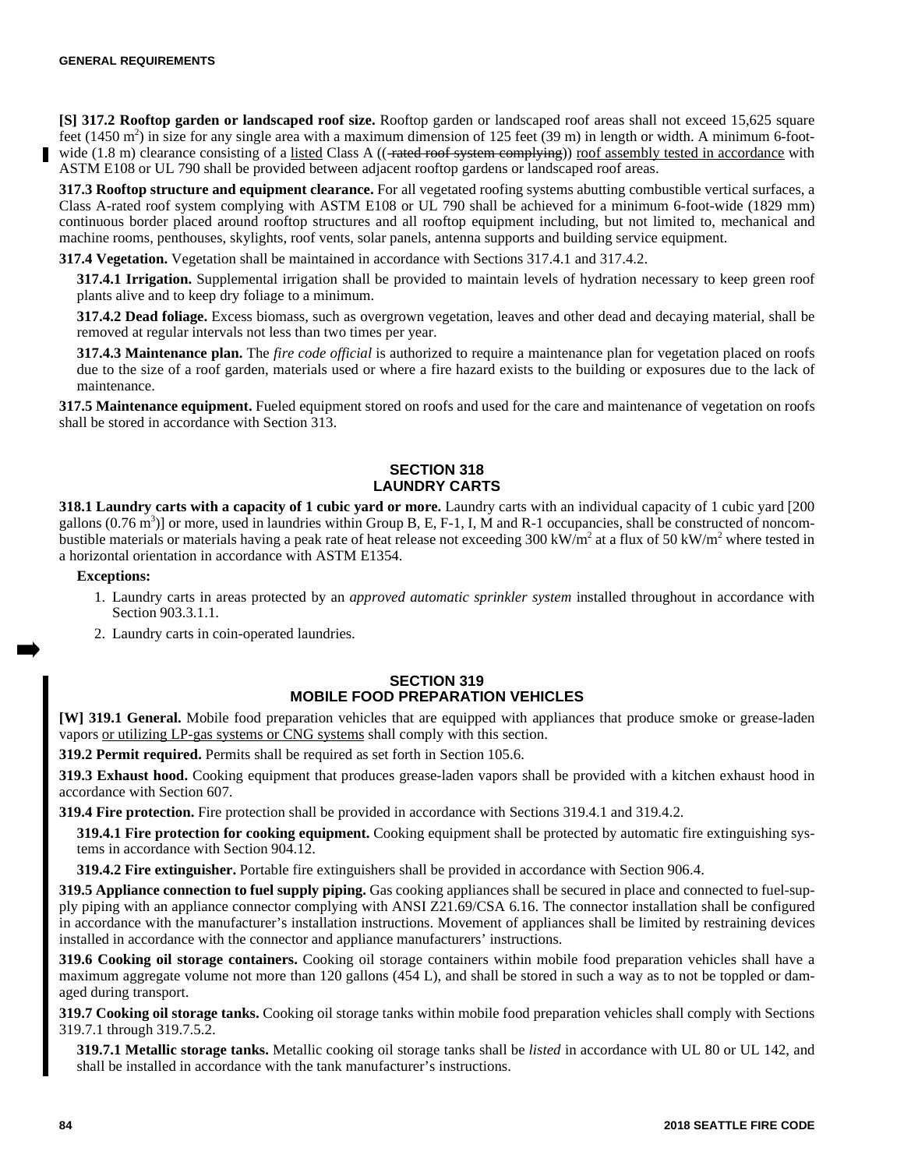**[S] 317.2 Rooftop garden or landscaped roof size.** Rooftop garden or landscaped roof areas shall not exceed 15,625 square feet (1450 m<sup>2</sup>) in size for any single area with a maximum dimension of 125 feet (39 m) in length or width. A minimum 6-footwide (1.8 m) clearance consisting of a listed Class A (( $\rightarrow$ rated roof system complying)) roof assembly tested in accordance with ASTM E108 or UL 790 shall be provided between adjacent rooftop gardens or landscaped roof areas.

**317.3 Rooftop structure and equipment clearance.** For all vegetated roofing systems abutting combustible vertical surfaces, a Class A-rated roof system complying with ASTM E108 or UL 790 shall be achieved for a minimum 6-foot-wide (1829 mm) continuous border placed around rooftop structures and all rooftop equipment including, but not limited to, mechanical and machine rooms, penthouses, skylights, roof vents, solar panels, antenna supports and building service equipment.

**317.4 Vegetation.** Vegetation shall be maintained in accordance with Sections 317.4.1 and 317.4.2.

**317.4.1 Irrigation.** Supplemental irrigation shall be provided to maintain levels of hydration necessary to keep green roof plants alive and to keep dry foliage to a minimum.

**317.4.2 Dead foliage.** Excess biomass, such as overgrown vegetation, leaves and other dead and decaying material, shall be removed at regular intervals not less than two times per year.

**317.4.3 Maintenance plan.** The *fire code official* is authorized to require a maintenance plan for vegetation placed on roofs due to the size of a roof garden, materials used or where a fire hazard exists to the building or exposures due to the lack of maintenance.

**317.5 Maintenance equipment.** Fueled equipment stored on roofs and used for the care and maintenance of vegetation on roofs shall be stored in accordance with Section 313.

## **SECTION 318 LAUNDRY CARTS**

**318.1 Laundry carts with a capacity of 1 cubic yard or more.** Laundry carts with an individual capacity of 1 cubic yard [200 gallons  $(0.76 \text{ m}^3)$  or more, used in laundries within Group B, E, F-1, I, M and R-1 occupancies, shall be constructed of noncombustible materials or materials having a peak rate of heat release not exceeding 300 kW/m<sup>2</sup> at a flux of 50 kW/m<sup>2</sup> where tested in a horizontal orientation in accordance with ASTM E1354.

#### **Exceptions:**

- 1. Laundry carts in areas protected by an *approved automatic sprinkler system* installed throughout in accordance with Section 903.3.1.1.
- 2. Laundry carts in coin-operated laundries.

## **SECTION 319 MOBILE FOOD PREPARATION VEHICLES**

**[W] 319.1 General.** Mobile food preparation vehicles that are equipped with appliances that produce smoke or grease-laden vapors or utilizing LP-gas systems or CNG systems shall comply with this section.

**319.2 Permit required.** Permits shall be required as set forth in Section 105.6.

**319.3 Exhaust hood.** Cooking equipment that produces grease-laden vapors shall be provided with a kitchen exhaust hood in accordance with Section 607.

**319.4 Fire protection.** Fire protection shall be provided in accordance with Sections 319.4.1 and 319.4.2.

**319.4.1 Fire protection for cooking equipment.** Cooking equipment shall be protected by automatic fire extinguishing systems in accordance with Section 904.12.

**319.4.2 Fire extinguisher.** Portable fire extinguishers shall be provided in accordance with Section 906.4.

**319.5 Appliance connection to fuel supply piping.** Gas cooking appliances shall be secured in place and connected to fuel-supply piping with an appliance connector complying with ANSI Z21.69/CSA 6.16. The connector installation shall be configured in accordance with the manufacturer's installation instructions. Movement of appliances shall be limited by restraining devices installed in accordance with the connector and appliance manufacturers' instructions.

**319.6 Cooking oil storage containers.** Cooking oil storage containers within mobile food preparation vehicles shall have a maximum aggregate volume not more than 120 gallons (454 L), and shall be stored in such a way as to not be toppled or damaged during transport.

**319.7 Cooking oil storage tanks.** Cooking oil storage tanks within mobile food preparation vehicles shall comply with Sections 319.7.1 through 319.7.5.2.

**319.7.1 Metallic storage tanks.** Metallic cooking oil storage tanks shall be *listed* in accordance with UL 80 or UL 142, and shall be installed in accordance with the tank manufacturer's instructions.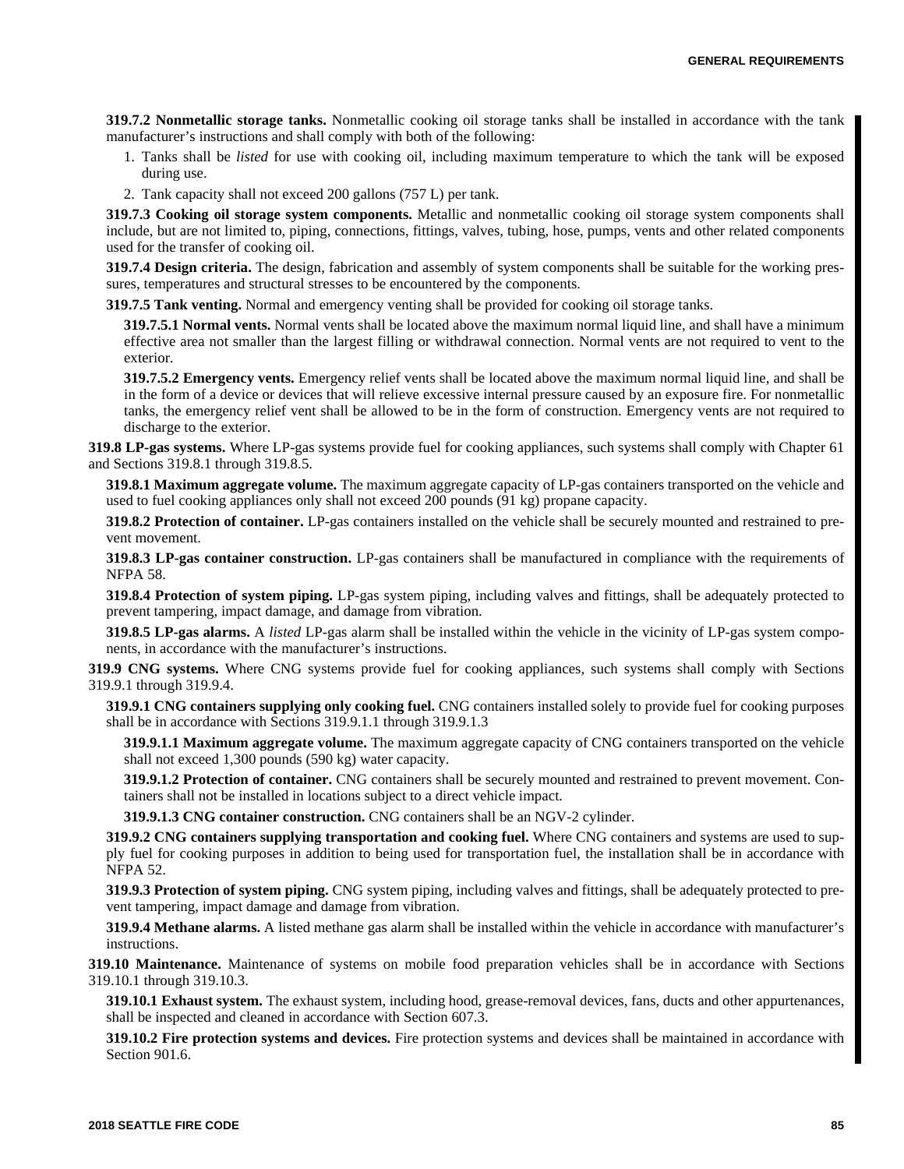**319.7.2 Nonmetallic storage tanks.** Nonmetallic cooking oil storage tanks shall be installed in accordance with the tank manufacturer's instructions and shall comply with both of the following:

- 1. Tanks shall be *listed* for use with cooking oil, including maximum temperature to which the tank will be exposed during use.
- 2. Tank capacity shall not exceed 200 gallons (757 L) per tank.

**319.7.3 Cooking oil storage system components.** Metallic and nonmetallic cooking oil storage system components shall include, but are not limited to, piping, connections, fittings, valves, tubing, hose, pumps, vents and other related components used for the transfer of cooking oil.

**319.7.4 Design criteria.** The design, fabrication and assembly of system components shall be suitable for the working pressures, temperatures and structural stresses to be encountered by the components.

**319.7.5 Tank venting.** Normal and emergency venting shall be provided for cooking oil storage tanks.

**319.7.5.1 Normal vents.** Normal vents shall be located above the maximum normal liquid line, and shall have a minimum effective area not smaller than the largest filling or withdrawal connection. Normal vents are not required to vent to the exterior.

**319.7.5.2 Emergency vents.** Emergency relief vents shall be located above the maximum normal liquid line, and shall be in the form of a device or devices that will relieve excessive internal pressure caused by an exposure fire. For nonmetallic tanks, the emergency relief vent shall be allowed to be in the form of construction. Emergency vents are not required to discharge to the exterior.

**319.8 LP-gas systems.** Where LP-gas systems provide fuel for cooking appliances, such systems shall comply with Chapter 61 and Sections 319.8.1 through 319.8.5.

**319.8.1 Maximum aggregate volume.** The maximum aggregate capacity of LP-gas containers transported on the vehicle and used to fuel cooking appliances only shall not exceed 200 pounds (91 kg) propane capacity.

**319.8.2 Protection of container.** LP-gas containers installed on the vehicle shall be securely mounted and restrained to prevent movement.

**319.8.3 LP-gas container construction.** LP-gas containers shall be manufactured in compliance with the requirements of NFPA 58.

**319.8.4 Protection of system piping.** LP-gas system piping, including valves and fittings, shall be adequately protected to prevent tampering, impact damage, and damage from vibration.

**319.8.5 LP-gas alarms.** A *listed* LP-gas alarm shall be installed within the vehicle in the vicinity of LP-gas system components, in accordance with the manufacturer's instructions.

**319.9 CNG systems.** Where CNG systems provide fuel for cooking appliances, such systems shall comply with Sections 319.9.1 through 319.9.4.

**319.9.1 CNG containers supplying only cooking fuel.** CNG containers installed solely to provide fuel for cooking purposes shall be in accordance with Sections 319.9.1.1 through 319.9.1.3

**319.9.1.1 Maximum aggregate volume.** The maximum aggregate capacity of CNG containers transported on the vehicle shall not exceed 1,300 pounds (590 kg) water capacity.

**319.9.1.2 Protection of container.** CNG containers shall be securely mounted and restrained to prevent movement. Containers shall not be installed in locations subject to a direct vehicle impact.

**319.9.1.3 CNG container construction.** CNG containers shall be an NGV-2 cylinder.

**319.9.2 CNG containers supplying transportation and cooking fuel.** Where CNG containers and systems are used to supply fuel for cooking purposes in addition to being used for transportation fuel, the installation shall be in accordance with NFPA 52.

**319.9.3 Protection of system piping.** CNG system piping, including valves and fittings, shall be adequately protected to prevent tampering, impact damage and damage from vibration.

**319.9.4 Methane alarms.** A listed methane gas alarm shall be installed within the vehicle in accordance with manufacturer's instructions.

**319.10 Maintenance.** Maintenance of systems on mobile food preparation vehicles shall be in accordance with Sections 319.10.1 through 319.10.3.

**319.10.1 Exhaust system.** The exhaust system, including hood, grease-removal devices, fans, ducts and other appurtenances, shall be inspected and cleaned in accordance with Section 607.3.

**319.10.2 Fire protection systems and devices.** Fire protection systems and devices shall be maintained in accordance with Section 901.6.